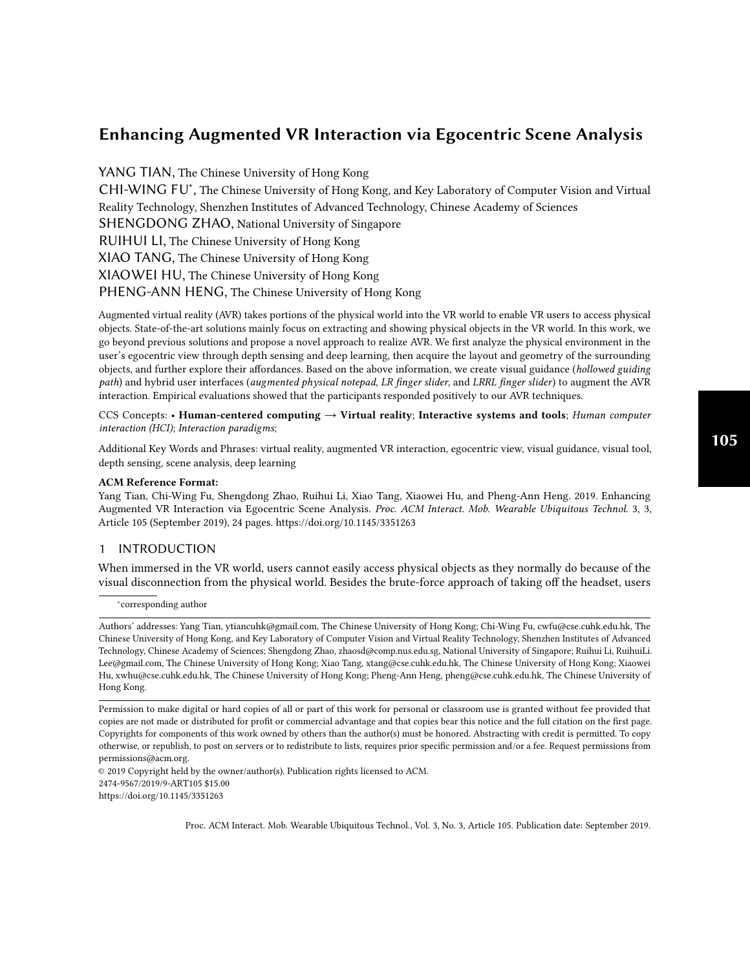# <span id="page-0-0"></span>Enhancing Augmented VR Interaction via Egocentric Scene Analysis

YANG TIAN, The Chinese University of Hong Kong

CHI-WING FU<sup>\*</sup>, The Chinese University of Hong Kong, and Key Laboratory of Computer Vision and Virtual Reality Technology, Shenzhen Institutes of Advanced Technology, Chinese Academy of Sciences SHENGDONG ZHAO, National University of Singapore RUIHUI LI, The Chinese University of Hong Kong XIAO TANG, The Chinese University of Hong Kong XIAOWEI HU, The Chinese University of Hong Kong PHENG-ANN HENG, The Chinese University of Hong Kong

Augmented virtual reality (AVR) takes portions of the physical world into the VR world to enable VR users to access physical objects. State-of-the-art solutions mainly focus on extracting and showing physical objects in the VR world. In this work, we go beyond previous solutions and propose a novel approach to realize AVR. We first analyze the physical environment in the user's egocentric view through depth sensing and deep learning, then acquire the layout and geometry of the surrounding objects, and further explore their affordances. Based on the above information, we create visual guidance (hollowed guiding path) and hybrid user interfaces (augmented physical notepad, LR finger slider, and LRRL finger slider) to augment the AVR interaction. Empirical evaluations showed that the participants responded positively to our AVR techniques.

CCS Concepts: • Human-centered computing  $\rightarrow$  Virtual reality; Interactive systems and tools; Human computer interaction (HCI); Interaction paradigms;

Additional Key Words and Phrases: virtual reality, augmented VR interaction, egocentric view, visual guidance, visual tool, depth sensing, scene analysis, deep learning

#### ACM Reference Format:

Yang Tian, Chi-Wing Fu, Shengdong Zhao, Ruihui Li, Xiao Tang, Xiaowei Hu, and Pheng-Ann Heng. 2019. Enhancing Augmented VR Interaction via Egocentric Scene Analysis. Proc. ACM Interact. Mob. Wearable Ubiquitous Technol. 3, 3, Article 105 (September 2019), [24](#page-23-0) pages.<https://doi.org/10.1145/3351263>

## 1 INTRODUCTION

When immersed in the VR world, users cannot easily access physical objects as they normally do because of the visual disconnection from the physical world. Besides the brute-force approach of taking off the headset, users

© 2019 Copyright held by the owner/author(s). Publication rights licensed to ACM. 2474-9567/2019/9-ART105 \$15.00 <https://doi.org/10.1145/3351263>

<sup>∗</sup> corresponding author

Authors' addresses: Yang Tian, ytiancuhk@gmail.com, The Chinese University of Hong Kong; Chi-Wing Fu, cwfu@cse.cuhk.edu.hk, The Chinese University of Hong Kong, and Key Laboratory of Computer Vision and Virtual Reality Technology, Shenzhen Institutes of Advanced Technology, Chinese Academy of Sciences; Shengdong Zhao, zhaosd@comp.nus.edu.sg, National University of Singapore; Ruihui Li, RuihuiLi. Lee@gmail.com, The Chinese University of Hong Kong; Xiao Tang, xtang@cse.cuhk.edu.hk, The Chinese University of Hong Kong; Xiaowei Hu, xwhu@cse.cuhk.edu.hk, The Chinese University of Hong Kong; Pheng-Ann Heng, pheng@cse.cuhk.edu.hk, The Chinese University of Hong Kong.

Permission to make digital or hard copies of all or part of this work for personal or classroom use is granted without fee provided that copies are not made or distributed for profit or commercial advantage and that copies bear this notice and the full citation on the first page. Copyrights for components of this work owned by others than the author(s) must be honored. Abstracting with credit is permitted. To copy otherwise, or republish, to post on servers or to redistribute to lists, requires prior specific permission and/or a fee. Request permissions from permissions@acm.org.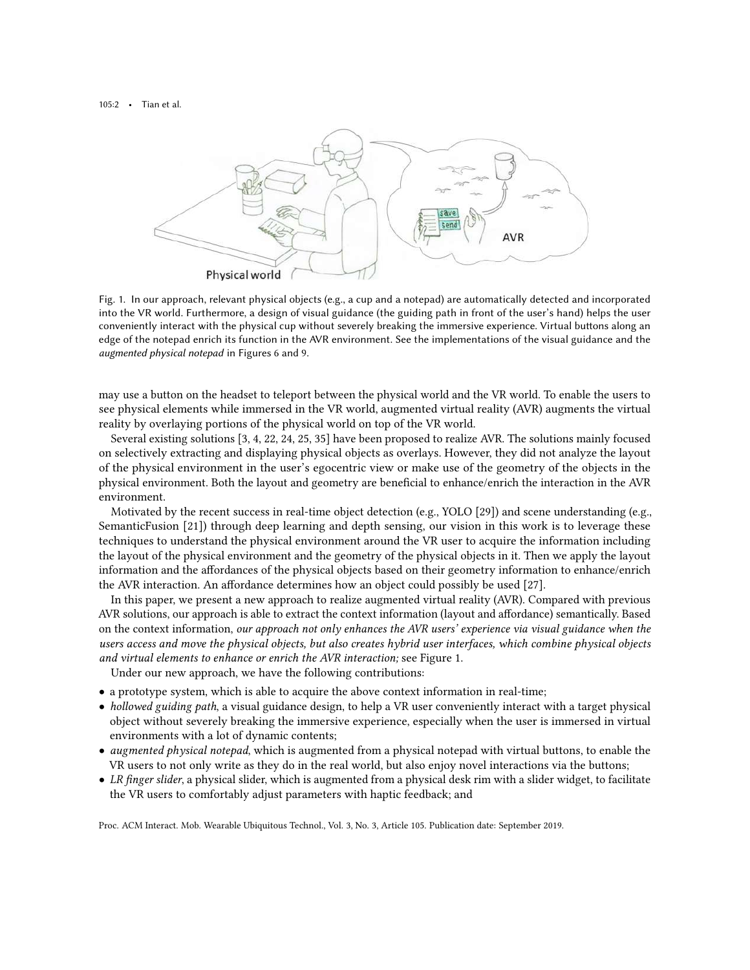<span id="page-1-0"></span>

Fig. 1. In our approach, relevant physical objects (e.g., a cup and a notepad) are automatically detected and incorporated into the VR world. Furthermore, a design of visual guidance (the guiding path in front of the user's hand) helps the user conveniently interact with the physical cup without severely breaking the immersive experience. Virtual buttons along an edge of the notepad enrich its function in the AVR environment. See the implementations of the visual guidance and the augmented physical notepad in Figures [6](#page-9-0) and [9.](#page-13-0)

may use a button on the headset to teleport between the physical world and the VR world. To enable the users to see physical elements while immersed in the VR world, augmented virtual reality (AVR) augments the virtual reality by overlaying portions of the physical world on top of the VR world.

Several existing solutions [\[3,](#page-22-0) [4,](#page-22-1) [22,](#page-23-1) [24,](#page-23-2) [25,](#page-23-3) [35\]](#page-23-4) have been proposed to realize AVR. The solutions mainly focused on selectively extracting and displaying physical objects as overlays. However, they did not analyze the layout of the physical environment in the user's egocentric view or make use of the geometry of the objects in the physical environment. Both the layout and geometry are beneficial to enhance/enrich the interaction in the AVR environment.

Motivated by the recent success in real-time object detection (e.g., YOLO [\[29\]](#page-23-5)) and scene understanding (e.g., SemanticFusion [\[21\]](#page-23-6)) through deep learning and depth sensing, our vision in this work is to leverage these techniques to understand the physical environment around the VR user to acquire the information including the layout of the physical environment and the geometry of the physical objects in it. Then we apply the layout information and the affordances of the physical objects based on their geometry information to enhance/enrich the AVR interaction. An affordance determines how an object could possibly be used [\[27\]](#page-23-7).

In this paper, we present a new approach to realize augmented virtual reality (AVR). Compared with previous AVR solutions, our approach is able to extract the context information (layout and affordance) semantically. Based on the context information, our approach not only enhances the AVR users' experience via visual guidance when the users access and move the physical objects, but also creates hybrid user interfaces, which combine physical objects and virtual elements to enhance or enrich the AVR interaction; see Figure [1.](#page-1-0)

Under our new approach, we have the following contributions:

- a prototype system, which is able to acquire the above context information in real-time;
- hollowed guiding path, a visual guidance design, to help a VR user conveniently interact with a target physical object without severely breaking the immersive experience, especially when the user is immersed in virtual environments with a lot of dynamic contents;
- augmented physical notepad, which is augmented from a physical notepad with virtual buttons, to enable the VR users to not only write as they do in the real world, but also enjoy novel interactions via the buttons;
- LR finger slider, a physical slider, which is augmented from a physical desk rim with a slider widget, to facilitate the VR users to comfortably adjust parameters with haptic feedback; and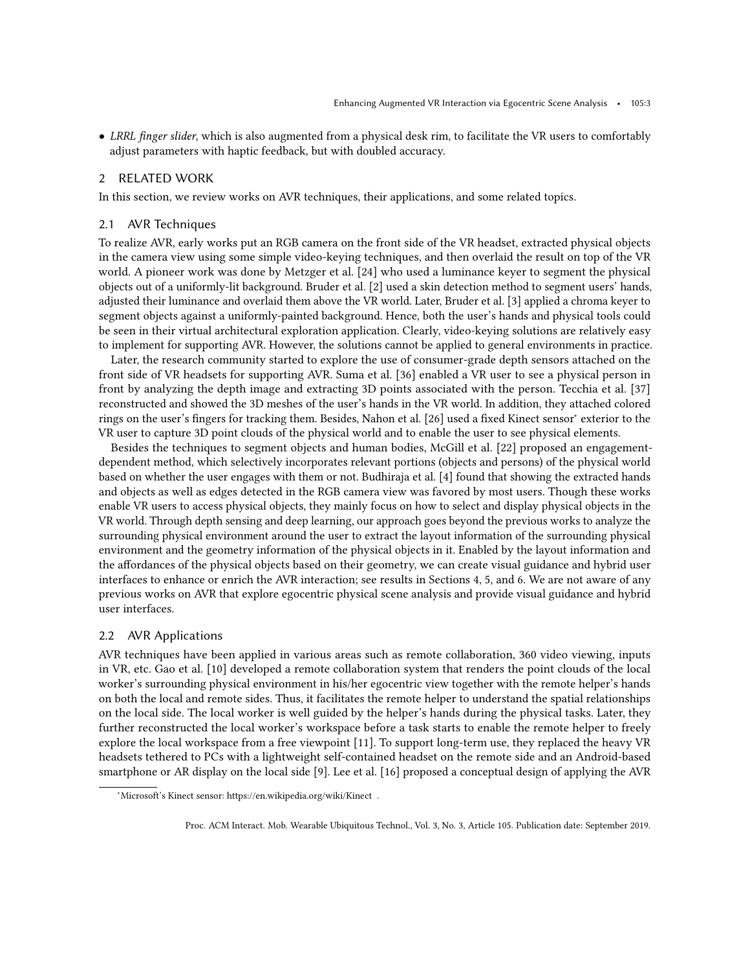• LRRL finger slider, which is also augmented from a physical desk rim, to facilitate the VR users to comfortably adjust parameters with haptic feedback, but with doubled accuracy.

#### 2 RELATED WORK

In this section, we review works on AVR techniques, their applications, and some related topics.

#### 2.1 AVR Techniques

To realize AVR, early works put an RGB camera on the front side of the VR headset, extracted physical objects in the camera view using some simple video-keying techniques, and then overlaid the result on top of the VR world. A pioneer work was done by Metzger et al. [\[24\]](#page-23-2) who used a luminance keyer to segment the physical objects out of a uniformly-lit background. Bruder et al. [\[2\]](#page-22-2) used a skin detection method to segment users' hands, adjusted their luminance and overlaid them above the VR world. Later, Bruder et al. [\[3\]](#page-22-0) applied a chroma keyer to segment objects against a uniformly-painted background. Hence, both the user's hands and physical tools could be seen in their virtual architectural exploration application. Clearly, video-keying solutions are relatively easy to implement for supporting AVR. However, the solutions cannot be applied to general environments in practice.

Later, the research community started to explore the use of consumer-grade depth sensors attached on the front side of VR headsets for supporting AVR. Suma et al. [\[36\]](#page-23-8) enabled a VR user to see a physical person in front by analyzing the depth image and extracting 3D points associated with the person. Tecchia et al. [\[37\]](#page-23-9) reconstructed and showed the 3D meshes of the user's hands in the VR world. In addition, they attached colored rings on the user's fingers for tracking them. Besides, Nahon et al. [\[26\]](#page-23-10) used a fixed Kinect sensor[∗](#page-0-0) exterior to the VR user to capture 3D point clouds of the physical world and to enable the user to see physical elements.

Besides the techniques to segment objects and human bodies, McGill et al. [\[22\]](#page-23-1) proposed an engagementdependent method, which selectively incorporates relevant portions (objects and persons) of the physical world based on whether the user engages with them or not. Budhiraja et al. [\[4\]](#page-22-1) found that showing the extracted hands and objects as well as edges detected in the RGB camera view was favored by most users. Though these works enable VR users to access physical objects, they mainly focus on how to select and display physical objects in the VR world. Through depth sensing and deep learning, our approach goes beyond the previous works to analyze the surrounding physical environment around the user to extract the layout information of the surrounding physical environment and the geometry information of the physical objects in it. Enabled by the layout information and the affordances of the physical objects based on their geometry, we can create visual guidance and hybrid user interfaces to enhance or enrich the AVR interaction; see results in Sections [4,](#page-6-0) [5,](#page-12-0) and [6.](#page-15-0) We are not aware of any previous works on AVR that explore egocentric physical scene analysis and provide visual guidance and hybrid user interfaces.

#### 2.2 AVR Applications

AVR techniques have been applied in various areas such as remote collaboration, 360 video viewing, inputs in VR, etc. Gao et al. [\[10\]](#page-22-3) developed a remote collaboration system that renders the point clouds of the local worker's surrounding physical environment in his/her egocentric view together with the remote helper's hands on both the local and remote sides. Thus, it facilitates the remote helper to understand the spatial relationships on the local side. The local worker is well guided by the helper's hands during the physical tasks. Later, they further reconstructed the local worker's workspace before a task starts to enable the remote helper to freely explore the local workspace from a free viewpoint [\[11\]](#page-22-4). To support long-term use, they replaced the heavy VR headsets tethered to PCs with a lightweight self-contained headset on the remote side and an Android-based smartphone or AR display on the local side [\[9\]](#page-22-5). Lee et al. [\[16\]](#page-22-6) proposed a conceptual design of applying the AVR

<sup>∗</sup>Microsoft's Kinect sensor:<https://en.wikipedia.org/wiki/Kinect> .

Proc. ACM Interact. Mob. Wearable Ubiquitous Technol., Vol. 3, No. 3, Article 105. Publication date: September 2019.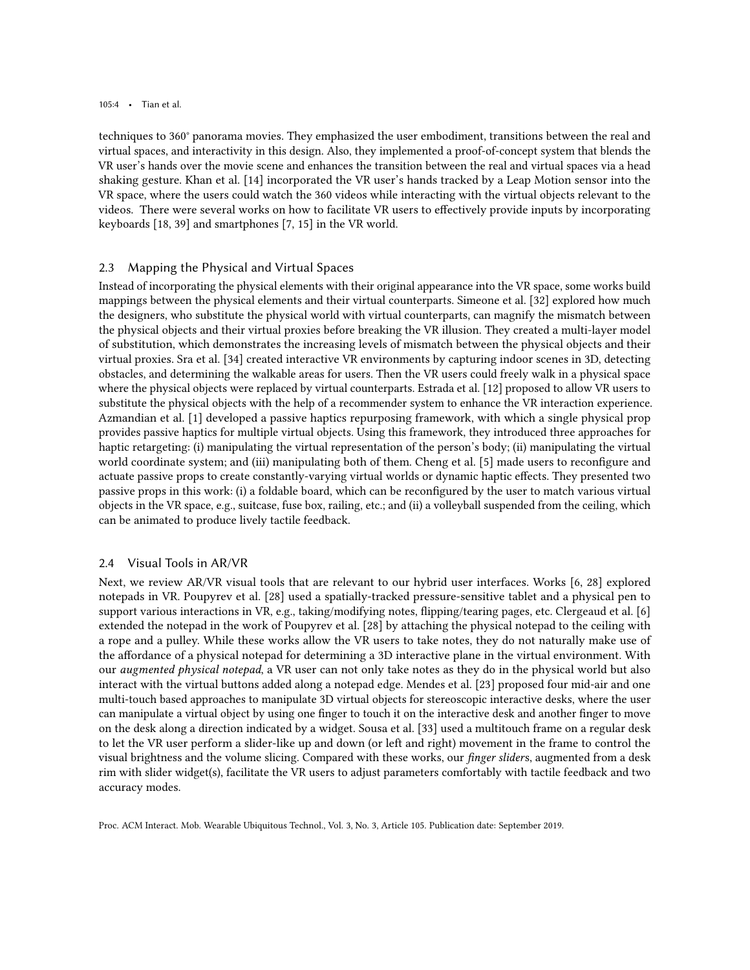105:4 • Tian et al.

techniques to 360° panorama movies. They emphasized the user embodiment, transitions between the real and virtual spaces, and interactivity in this design. Also, they implemented a proof-of-concept system that blends the VR user's hands over the movie scene and enhances the transition between the real and virtual spaces via a head shaking gesture. Khan et al. [\[14\]](#page-22-7) incorporated the VR user's hands tracked by a Leap Motion sensor into the VR space, where the users could watch the 360 videos while interacting with the virtual objects relevant to the videos. There were several works on how to facilitate VR users to effectively provide inputs by incorporating keyboards [\[18,](#page-23-11) [39\]](#page-23-12) and smartphones [\[7,](#page-22-8) [15\]](#page-22-9) in the VR world.

#### 2.3 Mapping the Physical and Virtual Spaces

Instead of incorporating the physical elements with their original appearance into the VR space, some works build mappings between the physical elements and their virtual counterparts. Simeone et al. [\[32\]](#page-23-13) explored how much the designers, who substitute the physical world with virtual counterparts, can magnify the mismatch between the physical objects and their virtual proxies before breaking the VR illusion. They created a multi-layer model of substitution, which demonstrates the increasing levels of mismatch between the physical objects and their virtual proxies. Sra et al. [\[34\]](#page-23-14) created interactive VR environments by capturing indoor scenes in 3D, detecting obstacles, and determining the walkable areas for users. Then the VR users could freely walk in a physical space where the physical objects were replaced by virtual counterparts. Estrada et al. [\[12\]](#page-22-10) proposed to allow VR users to substitute the physical objects with the help of a recommender system to enhance the VR interaction experience. Azmandian et al. [\[1\]](#page-22-11) developed a passive haptics repurposing framework, with which a single physical prop provides passive haptics for multiple virtual objects. Using this framework, they introduced three approaches for haptic retargeting: (i) manipulating the virtual representation of the person's body; (ii) manipulating the virtual world coordinate system; and (iii) manipulating both of them. Cheng et al. [\[5\]](#page-22-12) made users to reconfigure and actuate passive props to create constantly-varying virtual worlds or dynamic haptic effects. They presented two passive props in this work: (i) a foldable board, which can be reconfigured by the user to match various virtual objects in the VR space, e.g., suitcase, fuse box, railing, etc.; and (ii) a volleyball suspended from the ceiling, which can be animated to produce lively tactile feedback.

#### 2.4 Visual Tools in AR/VR

Next, we review AR/VR visual tools that are relevant to our hybrid user interfaces. Works [\[6,](#page-22-13) [28\]](#page-23-15) explored notepads in VR. Poupyrev et al. [\[28\]](#page-23-15) used a spatially-tracked pressure-sensitive tablet and a physical pen to support various interactions in VR, e.g., taking/modifying notes, flipping/tearing pages, etc. Clergeaud et al. [\[6\]](#page-22-13) extended the notepad in the work of Poupyrev et al. [\[28\]](#page-23-15) by attaching the physical notepad to the ceiling with a rope and a pulley. While these works allow the VR users to take notes, they do not naturally make use of the affordance of a physical notepad for determining a 3D interactive plane in the virtual environment. With our *augmented physical notepad*, a VR user can not only take notes as they do in the physical world but also interact with the virtual buttons added along a notepad edge. Mendes et al. [\[23\]](#page-23-16) proposed four mid-air and one multi-touch based approaches to manipulate 3D virtual objects for stereoscopic interactive desks, where the user can manipulate a virtual object by using one finger to touch it on the interactive desk and another finger to move on the desk along a direction indicated by a widget. Sousa et al. [\[33\]](#page-23-17) used a multitouch frame on a regular desk to let the VR user perform a slider-like up and down (or left and right) movement in the frame to control the visual brightness and the volume slicing. Compared with these works, our finger sliders, augmented from a desk rim with slider widget(s), facilitate the VR users to adjust parameters comfortably with tactile feedback and two accuracy modes.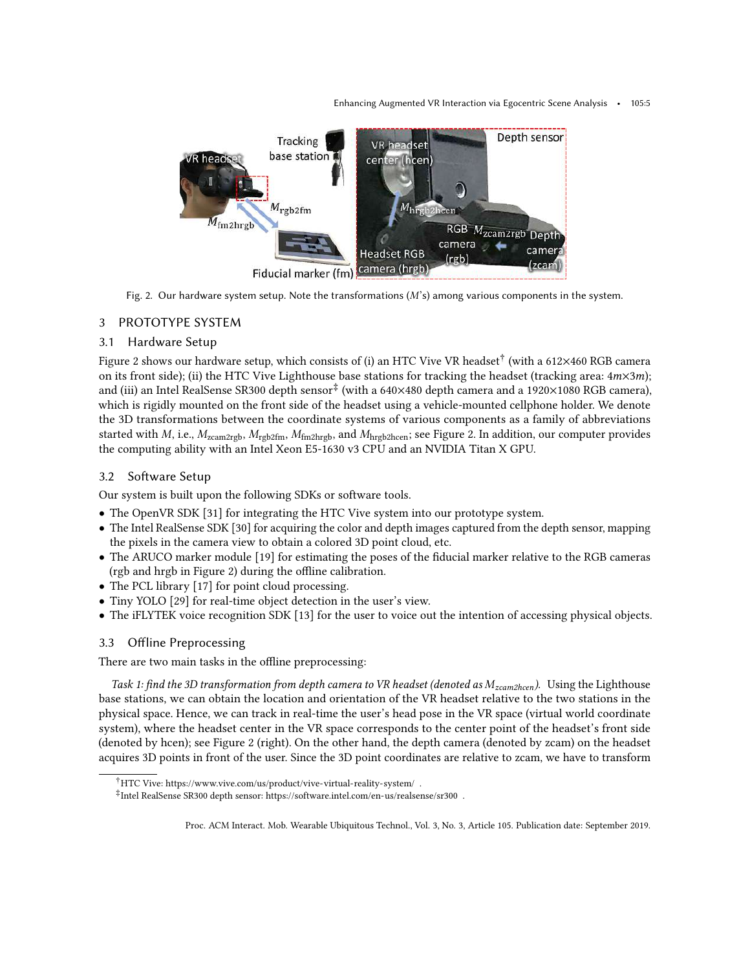Enhancing Augmented VR Interaction via Egocentric Scene Analysis • 105:5

<span id="page-4-0"></span>

Fig. 2. Our hardware system setup. Note the transformations  $(M's)$  among various components in the system.

# <span id="page-4-1"></span>3 PROTOTYPE SYSTEM

# 3.1 Hardware Setup

Figure [2](#page-4-0) shows our hardware setup, which consists of (i) an HTC Vive VR headset $^\dagger$  (with a 612×460 RGB camera on its front side); (ii) the HTC Vive Lighthouse base stations for tracking the headset (tracking area:  $4m\times3m$ ); and (iii) an Intel RealSense SR300 depth sensor[‡](#page-0-0) (with a 640×480 depth camera and a 1920×1080 RGB camera), which is rigidly mounted on the front side of the headset using a vehicle-mounted cellphone holder. We denote the 3D transformations between the coordinate systems of various components as a family of abbreviations started with M, i.e.,  $M_{z\text{cam2rgb}}, M_{\text{rgb2}}$  M<sub>fm2hrgb</sub>, and  $M_{\text{hrgb2hcen}}$ ; see Figure [2.](#page-4-0) In addition, our computer provides the computing ability with an Intel Xeon E5-1630 v3 CPU and an NVIDIA Titan X GPU.

# 3.2 Software Setup

Our system is built upon the following SDKs or software tools.

- The OpenVR SDK [\[31\]](#page-23-18) for integrating the HTC Vive system into our prototype system.
- The Intel RealSense SDK [\[30\]](#page-23-19) for acquiring the color and depth images captured from the depth sensor, mapping the pixels in the camera view to obtain a colored 3D point cloud, etc.
- The ARUCO marker module [\[19\]](#page-23-20) for estimating the poses of the fiducial marker relative to the RGB cameras (rgb and hrgb in Figure [2\)](#page-4-0) during the offline calibration.
- The PCL library [\[17\]](#page-23-21) for point cloud processing.
- Tiny YOLO [\[29\]](#page-23-5) for real-time object detection in the user's view.
- The iFLYTEK voice recognition SDK [\[13\]](#page-22-14) for the user to voice out the intention of accessing physical objects.

# 3.3 Offline Preprocessing

There are two main tasks in the offline preprocessing:

Task 1: find the 3D transformation from depth camera to VR headset (denoted as  $M_{zcam2hcen}$ ). Using the Lighthouse base stations, we can obtain the location and orientation of the VR headset relative to the two stations in the physical space. Hence, we can track in real-time the user's head pose in the VR space (virtual world coordinate system), where the headset center in the VR space corresponds to the center point of the headset's front side (denoted by hcen); see Figure [2](#page-4-0) (right). On the other hand, the depth camera (denoted by zcam) on the headset acquires 3D points in front of the user. Since the 3D point coordinates are relative to zcam, we have to transform

<sup>†</sup>HTC Vive:<https://www.vive.com/us/product/vive-virtual-reality-system/> .

<sup>‡</sup> Intel RealSense SR300 depth sensor:<https://software.intel.com/en-us/realsense/sr300> .

Proc. ACM Interact. Mob. Wearable Ubiquitous Technol., Vol. 3, No. 3, Article 105. Publication date: September 2019.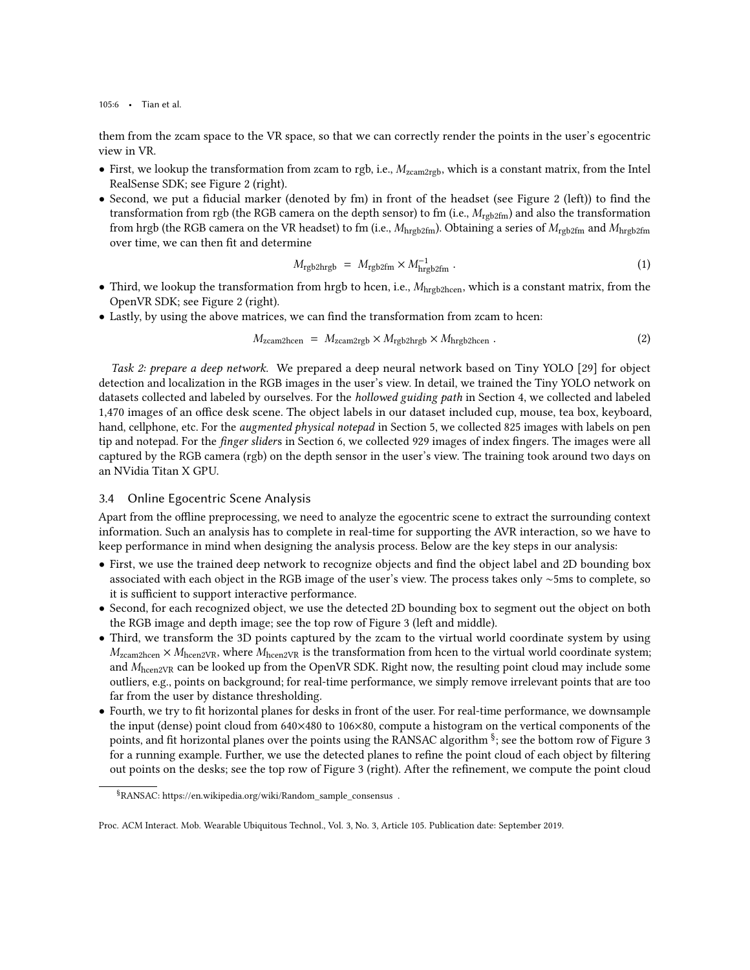105:6 • Tian et al.

them from the zcam space to the VR space, so that we can correctly render the points in the user's egocentric view in VR.

- First, we lookup the transformation from zcam to rgb, i.e.,  $M_{zcam2rgb}$ , which is a constant matrix, from the Intel RealSense SDK; see Figure [2](#page-4-0) (right).
- Second, we put a fiducial marker (denoted by fm) in front of the headset (see Figure [2](#page-4-0) (left)) to find the transformation from rgb (the RGB camera on the depth sensor) to fm (i.e.,  $M_{\text{rgb2fm}}$ ) and also the transformation from hrgb (the RGB camera on the VR headset) to fm (i.e.,  $M_{\text{hrgb2fm}}$ ). Obtaining a series of  $M_{\text{reb2fm}}$  and  $M_{\text{hrgb2fm}}$ over time, we can then fit and determine

$$
M_{\text{rgb2hrgb}} = M_{\text{rgb2fm}} \times M_{\text{hrgb2fm}}^{-1} \tag{1}
$$

- Third, we lookup the transformation from hrgb to hcen, i.e.,  $M_{\text{hrgb2heen}}$ , which is a constant matrix, from the OpenVR SDK; see Figure [2](#page-4-0) (right).
- Lastly, by using the above matrices, we can find the transformation from zcam to hcen:

$$
M_{\text{zcam2hcen}} = M_{\text{zcam2rgb}} \times M_{\text{rgb2hrgb}} \times M_{\text{hrgb2hcen}} \tag{2}
$$

Task 2: prepare a deep network. We prepared a deep neural network based on Tiny YOLO [\[29\]](#page-23-5) for object detection and localization in the RGB images in the user's view. In detail, we trained the Tiny YOLO network on datasets collected and labeled by ourselves. For the *hollowed guiding path* in Section [4,](#page-6-0) we collected and labeled 1,470 images of an office desk scene. The object labels in our dataset included cup, mouse, tea box, keyboard, hand, cellphone, etc. For the *augmented physical notepad* in Section [5,](#page-12-0) we collected 825 images with labels on pen tip and notepad. For the finger sliders in Section [6,](#page-15-0) we collected 929 images of index fingers. The images were all captured by the RGB camera (rgb) on the depth sensor in the user's view. The training took around two days on an NVidia Titan X GPU.

## 3.4 Online Egocentric Scene Analysis

Apart from the offline preprocessing, we need to analyze the egocentric scene to extract the surrounding context information. Such an analysis has to complete in real-time for supporting the AVR interaction, so we have to keep performance in mind when designing the analysis process. Below are the key steps in our analysis:

- First, we use the trained deep network to recognize objects and find the object label and 2D bounding box associated with each object in the RGB image of the user's view. The process takes only ∼5ms to complete, so it is sufficient to support interactive performance.
- Second, for each recognized object, we use the detected 2D bounding box to segment out the object on both the RGB image and depth image; see the top row of Figure [3](#page-6-1) (left and middle).
- Third, we transform the 3D points captured by the zcam to the virtual world coordinate system by using  $M_{\text{zcam2hcen}} \times M_{\text{hcen2VR}}$ , where  $M_{\text{hcen2VR}}$  is the transformation from hcen to the virtual world coordinate system; and  $M_{\text{hcen2VR}}$  can be looked up from the OpenVR SDK. Right now, the resulting point cloud may include some outliers, e.g., points on background; for real-time performance, we simply remove irrelevant points that are too far from the user by distance thresholding.
- Fourth, we try to fit horizontal planes for desks in front of the user. For real-time performance, we downsample the input (dense) point cloud from 640×480 to 106×80, compute a histogram on the vertical components of the points, and fit horizontal planes over the points using the RANSAC algorithm  $\S;$  see the bottom row of Figure [3](#page-6-1) for a running example. Further, we use the detected planes to refine the point cloud of each object by filtering out points on the desks; see the top row of Figure [3](#page-6-1) (right). After the refinement, we compute the point cloud

<sup>§</sup>RANSAC: [https://en.wikipedia.org/wiki/Random\\_sample\\_consensus](https://en.wikipedia.org/wiki/Random_sample_consensus) .

Proc. ACM Interact. Mob. Wearable Ubiquitous Technol., Vol. 3, No. 3, Article 105. Publication date: September 2019.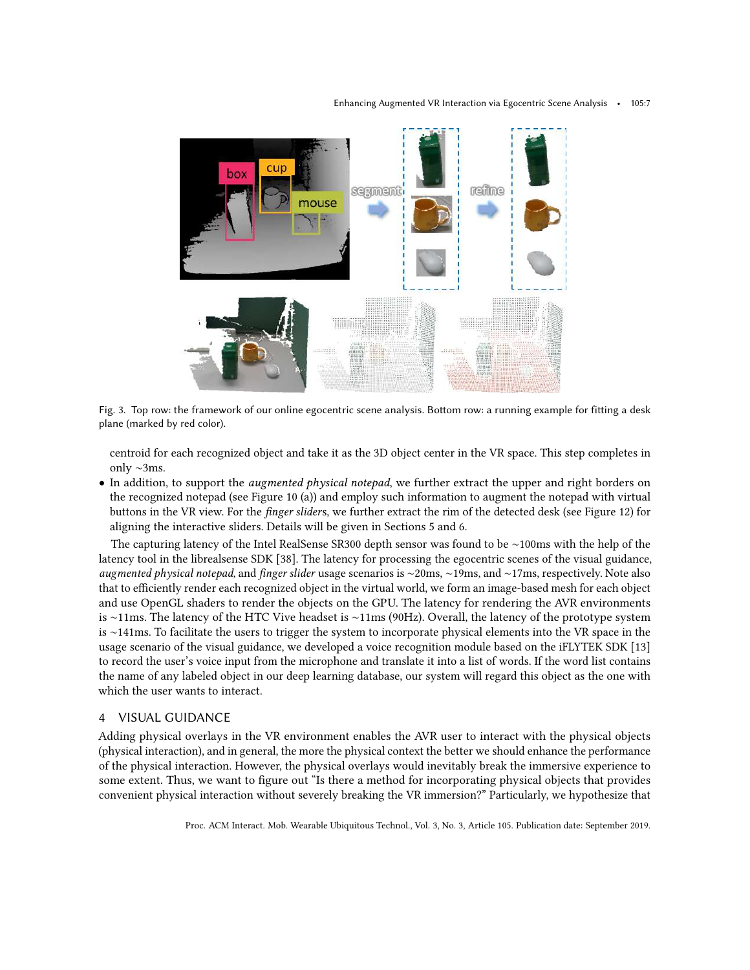Enhancing Augmented VR Interaction via Egocentric Scene Analysis • 105:7

<span id="page-6-1"></span>

Fig. 3. Top row: the framework of our online egocentric scene analysis. Bottom row: a running example for fitting a desk plane (marked by red color).

centroid for each recognized object and take it as the 3D object center in the VR space. This step completes in only ∼3ms.

• In addition, to support the augmented physical notepad, we further extract the upper and right borders on the recognized notepad (see Figure [10](#page-14-0) (a)) and employ such information to augment the notepad with virtual buttons in the VR view. For the finger sliders, we further extract the rim of the detected desk (see Figure [12\)](#page-17-0) for aligning the interactive sliders. Details will be given in Sections [5](#page-12-0) and [6.](#page-15-0)

The capturing latency of the Intel RealSense SR300 depth sensor was found to be ∼100ms with the help of the latency tool in the librealsense SDK [\[38\]](#page-23-22). The latency for processing the egocentric scenes of the visual guidance, augmented physical notepad, and finger slider usage scenarios is ∼20ms, ∼19ms, and ∼17ms, respectively. Note also that to efficiently render each recognized object in the virtual world, we form an image-based mesh for each object and use OpenGL shaders to render the objects on the GPU. The latency for rendering the AVR environments is ∼11ms. The latency of the HTC Vive headset is ∼11ms (90Hz). Overall, the latency of the prototype system is ∼141ms. To facilitate the users to trigger the system to incorporate physical elements into the VR space in the usage scenario of the visual guidance, we developed a voice recognition module based on the iFLYTEK SDK [\[13\]](#page-22-14) to record the user's voice input from the microphone and translate it into a list of words. If the word list contains the name of any labeled object in our deep learning database, our system will regard this object as the one with which the user wants to interact.

#### <span id="page-6-0"></span>4 VISUAL GUIDANCE

Adding physical overlays in the VR environment enables the AVR user to interact with the physical objects (physical interaction), and in general, the more the physical context the better we should enhance the performance of the physical interaction. However, the physical overlays would inevitably break the immersive experience to some extent. Thus, we want to figure out "Is there a method for incorporating physical objects that provides convenient physical interaction without severely breaking the VR immersion?" Particularly, we hypothesize that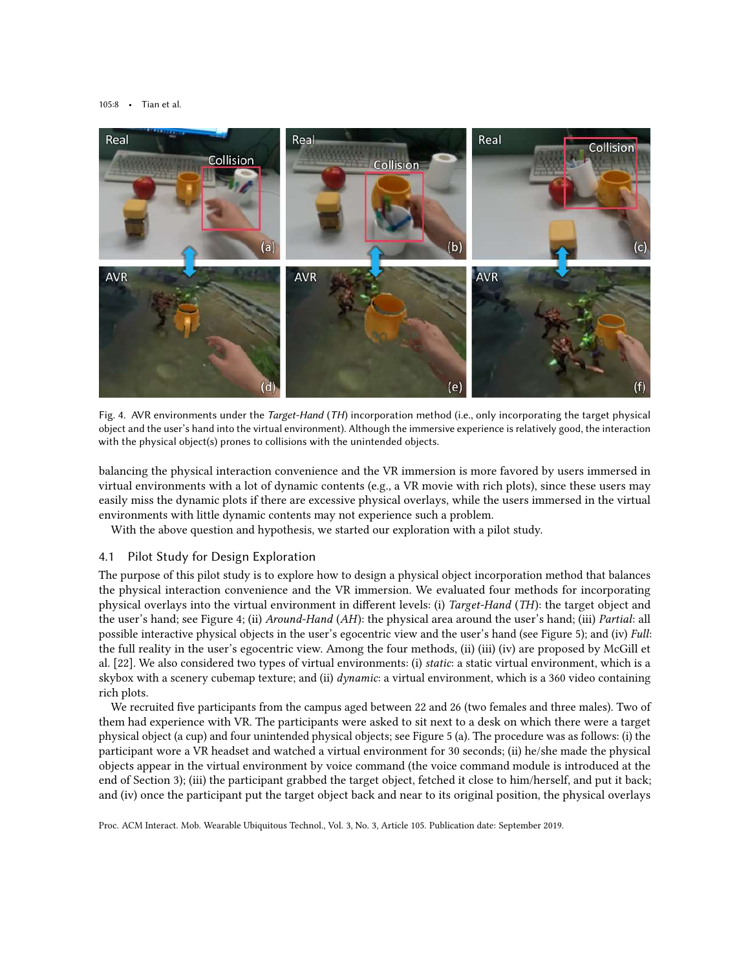#### 105:8 • Tian et al.

<span id="page-7-0"></span>

Fig. 4. AVR environments under the Target-Hand (TH) incorporation method (i.e., only incorporating the target physical object and the user's hand into the virtual environment). Although the immersive experience is relatively good, the interaction with the physical object(s) prones to collisions with the unintended objects.

balancing the physical interaction convenience and the VR immersion is more favored by users immersed in virtual environments with a lot of dynamic contents (e.g., a VR movie with rich plots), since these users may easily miss the dynamic plots if there are excessive physical overlays, while the users immersed in the virtual environments with little dynamic contents may not experience such a problem.

With the above question and hypothesis, we started our exploration with a pilot study.

#### 4.1 Pilot Study for Design Exploration

The purpose of this pilot study is to explore how to design a physical object incorporation method that balances the physical interaction convenience and the VR immersion. We evaluated four methods for incorporating physical overlays into the virtual environment in different levels: (i) Target-Hand (TH): the target object and the user's hand; see Figure [4;](#page-7-0) (ii) Around-Hand (AH): the physical area around the user's hand; (iii) Partial: all possible interactive physical objects in the user's egocentric view and the user's hand (see Figure [5\)](#page-8-0); and (iv) Full: the full reality in the user's egocentric view. Among the four methods, (ii) (iii) (iv) are proposed by McGill et al. [\[22\]](#page-23-1). We also considered two types of virtual environments: (i) static: a static virtual environment, which is a skybox with a scenery cubemap texture; and (ii) *dynamic*: a virtual environment, which is a 360 video containing rich plots.

We recruited five participants from the campus aged between 22 and 26 (two females and three males). Two of them had experience with VR. The participants were asked to sit next to a desk on which there were a target physical object (a cup) and four unintended physical objects; see Figure [5](#page-8-0) (a). The procedure was as follows: (i) the participant wore a VR headset and watched a virtual environment for 30 seconds; (ii) he/she made the physical objects appear in the virtual environment by voice command (the voice command module is introduced at the end of Section [3\)](#page-4-1); (iii) the participant grabbed the target object, fetched it close to him/herself, and put it back; and (iv) once the participant put the target object back and near to its original position, the physical overlays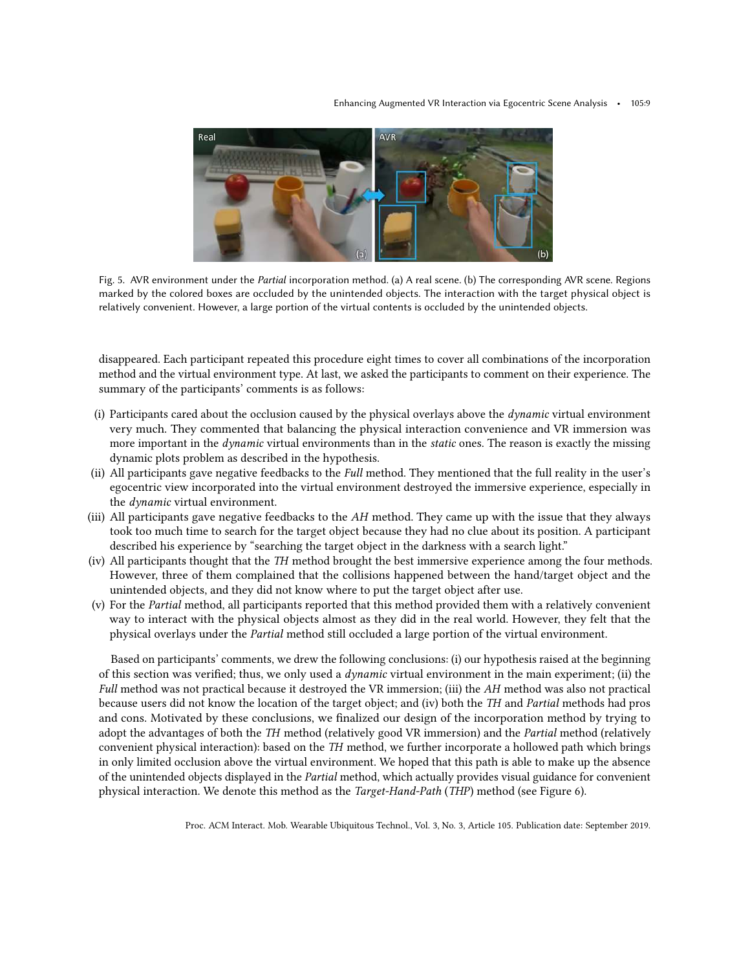<span id="page-8-0"></span>

Fig. 5. AVR environment under the Partial incorporation method. (a) A real scene. (b) The corresponding AVR scene. Regions marked by the colored boxes are occluded by the unintended objects. The interaction with the target physical object is relatively convenient. However, a large portion of the virtual contents is occluded by the unintended objects.

disappeared. Each participant repeated this procedure eight times to cover all combinations of the incorporation method and the virtual environment type. At last, we asked the participants to comment on their experience. The summary of the participants' comments is as follows:

- (i) Participants cared about the occlusion caused by the physical overlays above the dynamic virtual environment very much. They commented that balancing the physical interaction convenience and VR immersion was more important in the *dynamic* virtual environments than in the *static* ones. The reason is exactly the missing dynamic plots problem as described in the hypothesis.
- (ii) All participants gave negative feedbacks to the Full method. They mentioned that the full reality in the user's egocentric view incorporated into the virtual environment destroyed the immersive experience, especially in the dynamic virtual environment.
- (iii) All participants gave negative feedbacks to the  $AH$  method. They came up with the issue that they always took too much time to search for the target object because they had no clue about its position. A participant described his experience by "searching the target object in the darkness with a search light."
- (iv) All participants thought that the TH method brought the best immersive experience among the four methods. However, three of them complained that the collisions happened between the hand/target object and the unintended objects, and they did not know where to put the target object after use.
- (v) For the Partial method, all participants reported that this method provided them with a relatively convenient way to interact with the physical objects almost as they did in the real world. However, they felt that the physical overlays under the Partial method still occluded a large portion of the virtual environment.

Based on participants' comments, we drew the following conclusions: (i) our hypothesis raised at the beginning of this section was verified; thus, we only used a dynamic virtual environment in the main experiment; (ii) the Full method was not practical because it destroyed the VR immersion; (iii) the AH method was also not practical because users did not know the location of the target object; and (iv) both the TH and Partial methods had pros and cons. Motivated by these conclusions, we finalized our design of the incorporation method by trying to adopt the advantages of both the TH method (relatively good VR immersion) and the Partial method (relatively convenient physical interaction): based on the TH method, we further incorporate a hollowed path which brings in only limited occlusion above the virtual environment. We hoped that this path is able to make up the absence of the unintended objects displayed in the Partial method, which actually provides visual guidance for convenient physical interaction. We denote this method as the Target-Hand-Path (THP) method (see Figure [6\)](#page-9-0).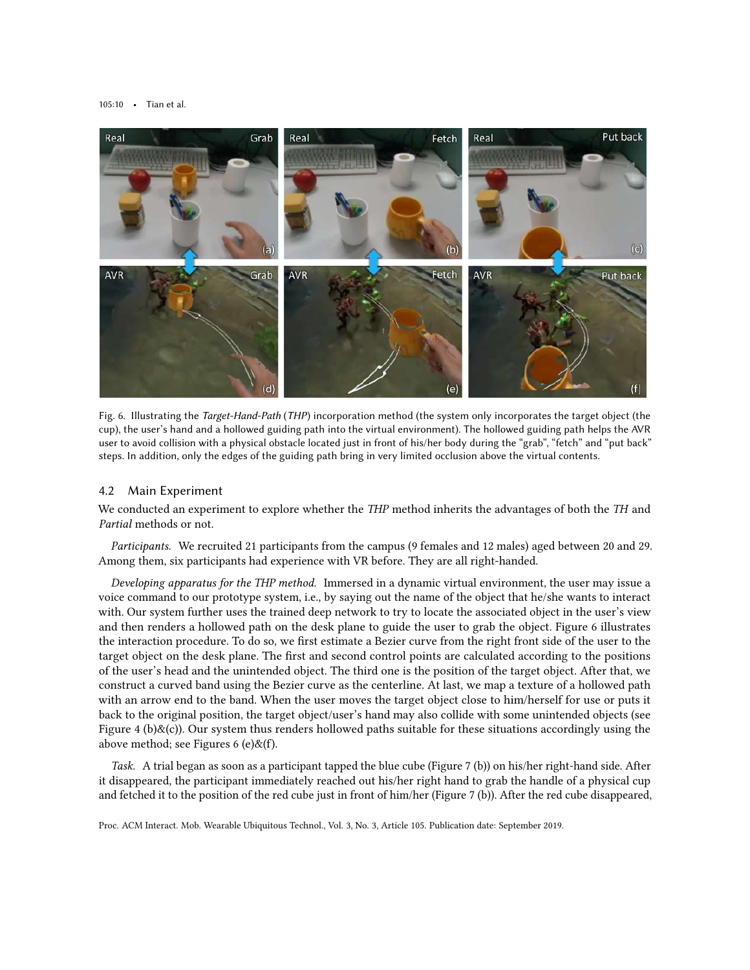105:10 • Tian et al.

<span id="page-9-0"></span>

Fig. 6. Illustrating the Target-Hand-Path (THP) incorporation method (the system only incorporates the target object (the cup), the user's hand and a hollowed guiding path into the virtual environment). The hollowed guiding path helps the AVR user to avoid collision with a physical obstacle located just in front of his/her body during the "grab", "fetch" and "put back" steps. In addition, only the edges of the guiding path bring in very limited occlusion above the virtual contents.

#### 4.2 Main Experiment

We conducted an experiment to explore whether the THP method inherits the advantages of both the TH and Partial methods or not.

Participants. We recruited 21 participants from the campus (9 females and 12 males) aged between 20 and 29. Among them, six participants had experience with VR before. They are all right-handed.

Developing apparatus for the THP method. Immersed in a dynamic virtual environment, the user may issue a voice command to our prototype system, i.e., by saying out the name of the object that he/she wants to interact with. Our system further uses the trained deep network to try to locate the associated object in the user's view and then renders a hollowed path on the desk plane to guide the user to grab the object. Figure [6](#page-9-0) illustrates the interaction procedure. To do so, we first estimate a Bezier curve from the right front side of the user to the target object on the desk plane. The first and second control points are calculated according to the positions of the user's head and the unintended object. The third one is the position of the target object. After that, we construct a curved band using the Bezier curve as the centerline. At last, we map a texture of a hollowed path with an arrow end to the band. When the user moves the target object close to him/herself for use or puts it back to the original position, the target object/user's hand may also collide with some unintended objects (see Figure [4](#page-7-0) (b) $\&c)$ ). Our system thus renders hollowed paths suitable for these situations accordingly using the above method; see Figures [6](#page-9-0) (e) $\&$ (f).

Task. A trial began as soon as a participant tapped the blue cube (Figure [7](#page-10-0) (b)) on his/her right-hand side. After it disappeared, the participant immediately reached out his/her right hand to grab the handle of a physical cup and fetched it to the position of the red cube just in front of him/her (Figure [7](#page-10-0) (b)). After the red cube disappeared,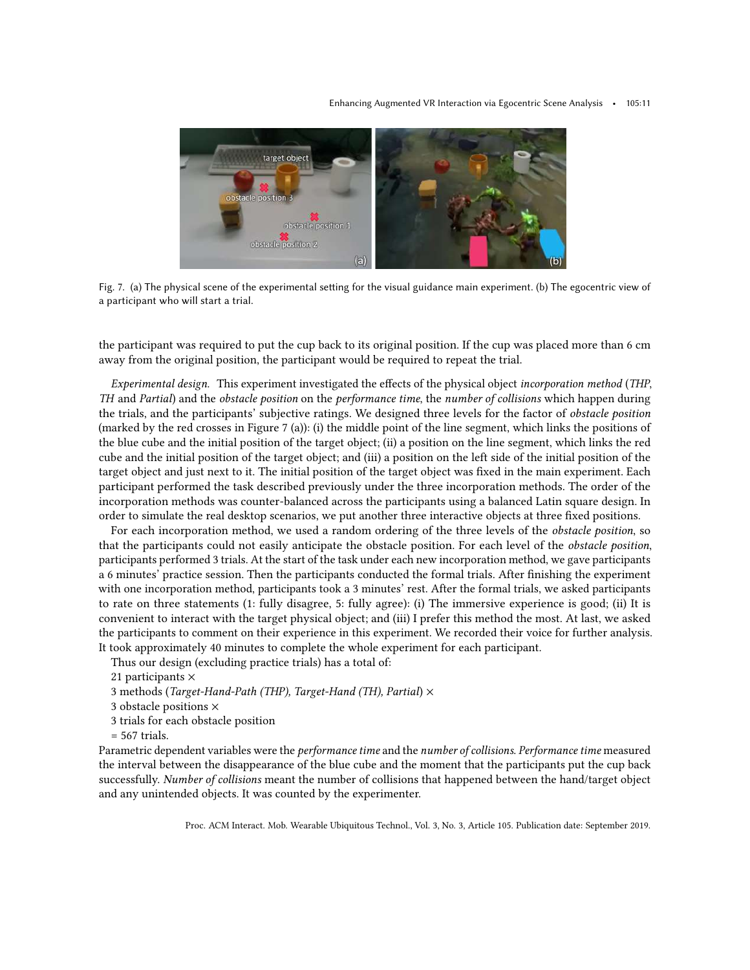<span id="page-10-0"></span>

Fig. 7. (a) The physical scene of the experimental setting for the visual guidance main experiment. (b) The egocentric view of a participant who will start a trial.

the participant was required to put the cup back to its original position. If the cup was placed more than 6 cm away from the original position, the participant would be required to repeat the trial.

Experimental design. This experiment investigated the effects of the physical object incorporation method (THP, TH and Partial) and the obstacle position on the performance time, the number of collisions which happen during the trials, and the participants' subjective ratings. We designed three levels for the factor of obstacle position (marked by the red crosses in Figure [7](#page-10-0) (a)): (i) the middle point of the line segment, which links the positions of the blue cube and the initial position of the target object; (ii) a position on the line segment, which links the red cube and the initial position of the target object; and (iii) a position on the left side of the initial position of the target object and just next to it. The initial position of the target object was fixed in the main experiment. Each participant performed the task described previously under the three incorporation methods. The order of the incorporation methods was counter-balanced across the participants using a balanced Latin square design. In order to simulate the real desktop scenarios, we put another three interactive objects at three fixed positions.

For each incorporation method, we used a random ordering of the three levels of the *obstacle position*, so that the participants could not easily anticipate the obstacle position. For each level of the obstacle position, participants performed 3 trials. At the start of the task under each new incorporation method, we gave participants a 6 minutes' practice session. Then the participants conducted the formal trials. After finishing the experiment with one incorporation method, participants took a 3 minutes' rest. After the formal trials, we asked participants to rate on three statements (1: fully disagree, 5: fully agree): (i) The immersive experience is good; (ii) It is convenient to interact with the target physical object; and (iii) I prefer this method the most. At last, we asked the participants to comment on their experience in this experiment. We recorded their voice for further analysis. It took approximately 40 minutes to complete the whole experiment for each participant.

Thus our design (excluding practice trials) has a total of:

- 21 participants ×
- 3 methods (Target-Hand-Path (THP), Target-Hand (TH), Partial) ×
- 3 obstacle positions ×
- 3 trials for each obstacle position
- $= 567$  trials.

Parametric dependent variables were the performance time and the number of collisions. Performance time measured the interval between the disappearance of the blue cube and the moment that the participants put the cup back successfully. Number of collisions meant the number of collisions that happened between the hand/target object and any unintended objects. It was counted by the experimenter.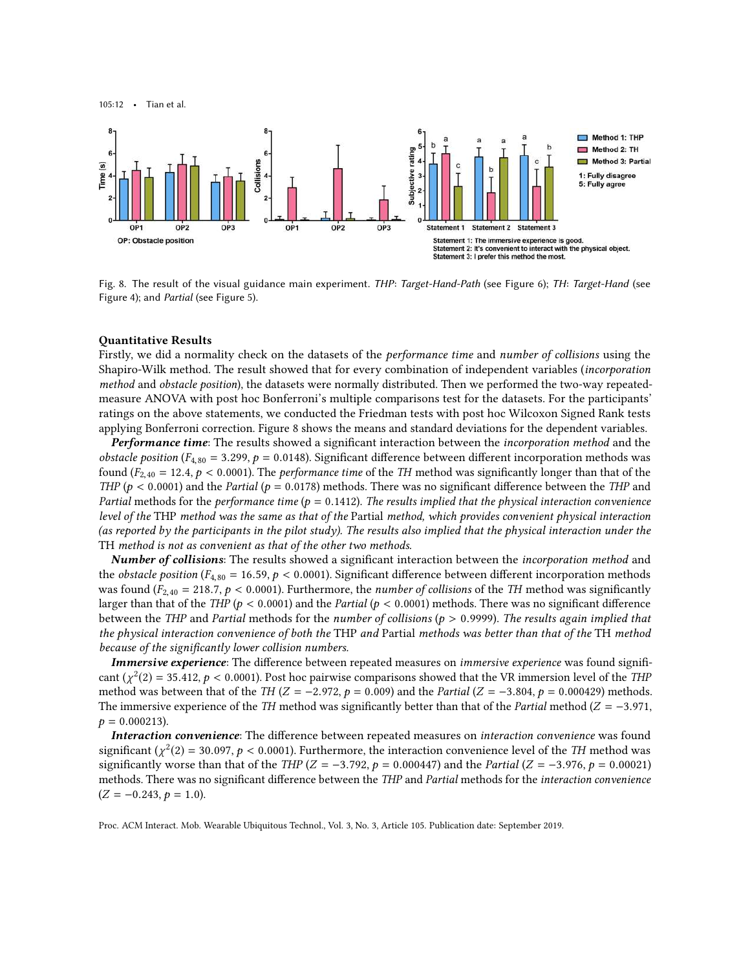<span id="page-11-0"></span>

Fig. 8. The result of the visual guidance main experiment. THP: Target-Hand-Path (see Figure [6\)](#page-9-0); TH: Target-Hand (see Figure [4\)](#page-7-0); and Partial (see Figure [5\)](#page-8-0).

#### Quantitative Results

Firstly, we did a normality check on the datasets of the *performance time* and *number of collisions* using the Shapiro-Wilk method. The result showed that for every combination of independent variables (incorporation method and obstacle position), the datasets were normally distributed. Then we performed the two-way repeatedmeasure ANOVA with post hoc Bonferroni's multiple comparisons test for the datasets. For the participants' ratings on the above statements, we conducted the Friedman tests with post hoc Wilcoxon Signed Rank tests applying Bonferroni correction. Figure [8](#page-11-0) shows the means and standard deviations for the dependent variables.

Performance time: The results showed a significant interaction between the *incorporation method* and the obstacle position ( $F_{4,80}$  = 3.299,  $p$  = 0.0148). Significant difference between different incorporation methods was found  $(F_{2,40} = 12.4, p < 0.0001)$ . The *performance time* of the TH method was significantly longer than that of the THP ( $p < 0.0001$ ) and the Partial ( $p = 0.0178$ ) methods. There was no significant difference between the THP and Partial methods for the performance time ( $p = 0.1412$ ). The results implied that the physical interaction convenience level of the THP method was the same as that of the Partial method, which provides convenient physical interaction (as reported by the participants in the pilot study). The results also implied that the physical interaction under the TH method is not as convenient as that of the other two methods.

Number of collisions: The results showed a significant interaction between the incorporation method and the *obstacle position* ( $F_{4,80}$  = 16.59,  $p$  < 0.0001). Significant difference between different incorporation methods was found  $(F_{2,40} = 218.7, p < 0.0001)$ . Furthermore, the *number of collisions* of the TH method was significantly larger than that of the THP ( $p < 0.0001$ ) and the Partial ( $p < 0.0001$ ) methods. There was no significant difference between the THP and Partial methods for the number of collisions ( $p > 0.9999$ ). The results again implied that the physical interaction convenience of both the THP and Partial methods was better than that of the TH method because of the significantly lower collision numbers.

Immersive experience: The difference between repeated measures on *immersive experience* was found significant  $(\chi^2(2) = 35.412, p < 0.0001)$ . Post hoc pairwise comparisons showed that the VR immersion level of the THP<br>method was between that of the TH (Z – -2.972, n – 0.000) and the *Partial* (Z – -3.804, n – 0.000429) methods method was between that of the TH (Z = −2.972,  $p = 0.009$ ) and the Partial (Z = −3.804,  $p = 0.000429$ ) methods. The immersive experience of the TH method was significantly better than that of the Partial method ( $Z = -3.971$ ,  $p = 0.000213$ ).

Interaction convenience: The difference between repeated measures on interaction convenience was found significant ( $\chi^2(2) = 30.097$ ,  $p < 0.0001$ ). Furthermore, the interaction convenience level of the TH method was<br>significantly worse than that of the THP ( $Z = -3.92$ ),  $p = 0.000447$ ) and the Partial ( $Z = -3.976$ ,  $p = 0.000$ significantly worse than that of the THP ( $Z = -3.792$ ,  $p = 0.000447$ ) and the Partial ( $Z = -3.976$ ,  $p = 0.00021$ ) methods. There was no significant difference between the THP and Partial methods for the interaction convenience  $(Z = -0.243, p = 1.0).$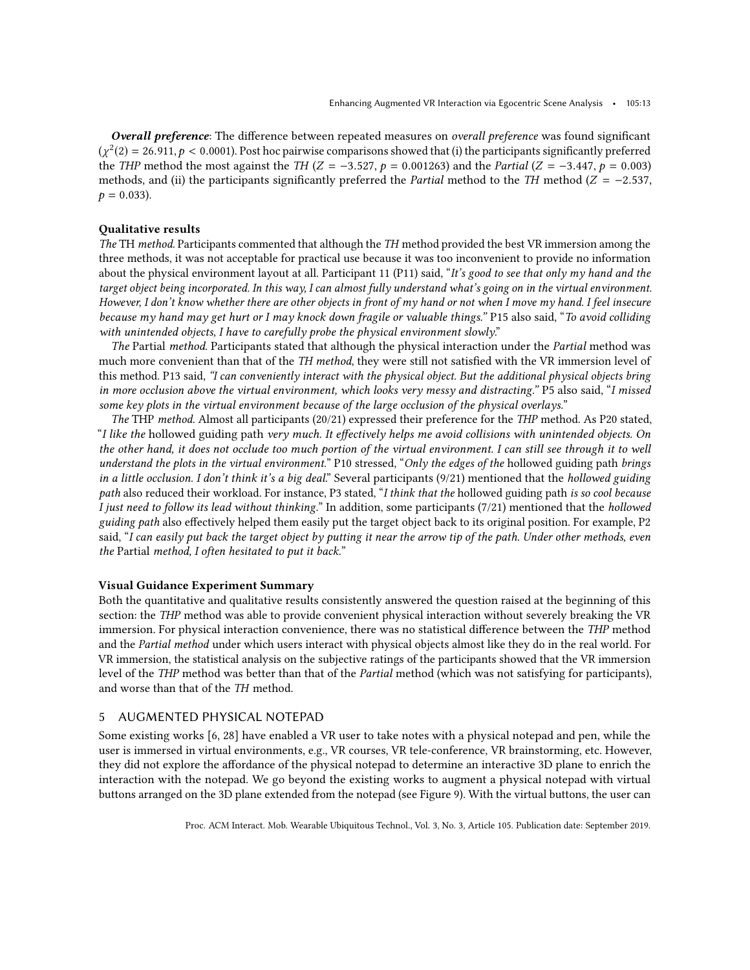Overall preference: The difference between repeated measures on overall preference was found significant  $(\chi^2(2) = 26.911, p < 0.0001)$ . Post hoc pairwise comparisons showed that (i) the participants significantly preferred<br>the THP method the most against the TH (Z – -3.527, n = 0.001263) and the Partial (Z – -3.447, n = 0.003 the THP method the most against the TH (Z =  $-3.527$ , p = 0.001263) and the Partial (Z =  $-3.447$ , p = 0.003) methods, and (ii) the participants significantly preferred the Partial method to the TH method ( $Z = -2.537$ ,  $p = 0.033$ ).

## Qualitative results

The TH method. Participants commented that although the TH method provided the best VR immersion among the three methods, it was not acceptable for practical use because it was too inconvenient to provide no information about the physical environment layout at all. Participant 11 (P11) said, "It's good to see that only my hand and the target object being incorporated. In this way, I can almost fully understand what's going on in the virtual environment. However, I don't know whether there are other objects in front of my hand or not when I move my hand. I feel insecure because my hand may get hurt or I may knock down fragile or valuable things." P15 also said, "To avoid colliding with unintended objects, I have to carefully probe the physical environment slowly."

The Partial method. Participants stated that although the physical interaction under the Partial method was much more convenient than that of the TH method, they were still not satisfied with the VR immersion level of this method. P13 said, "I can conveniently interact with the physical object. But the additional physical objects bring in more occlusion above the virtual environment, which looks very messy and distracting." P5 also said, "I missed some key plots in the virtual environment because of the large occlusion of the physical overlays."

The THP method. Almost all participants (20/21) expressed their preference for the THP method. As P20 stated, "I like the hollowed guiding path very much. It effectively helps me avoid collisions with unintended objects. On the other hand, it does not occlude too much portion of the virtual environment. I can still see through it to well understand the plots in the virtual environment." P10 stressed, "Only the edges of the hollowed guiding path brings in a little occlusion. I don't think it's a big deal." Several participants (9/21) mentioned that the hollowed guiding path also reduced their workload. For instance, P3 stated, "I think that the hollowed guiding path is so cool because I just need to follow its lead without thinking." In addition, some participants (7/21) mentioned that the hollowed guiding path also effectively helped them easily put the target object back to its original position. For example, P2 said, "I can easily put back the target object by putting it near the arrow tip of the path. Under other methods, even the Partial method, I often hesitated to put it back."

### Visual Guidance Experiment Summary

Both the quantitative and qualitative results consistently answered the question raised at the beginning of this section: the THP method was able to provide convenient physical interaction without severely breaking the VR immersion. For physical interaction convenience, there was no statistical difference between the THP method and the Partial method under which users interact with physical objects almost like they do in the real world. For VR immersion, the statistical analysis on the subjective ratings of the participants showed that the VR immersion level of the THP method was better than that of the Partial method (which was not satisfying for participants), and worse than that of the TH method.

#### <span id="page-12-0"></span>5 AUGMENTED PHYSICAL NOTEPAD

Some existing works [\[6,](#page-22-13) [28\]](#page-23-15) have enabled a VR user to take notes with a physical notepad and pen, while the user is immersed in virtual environments, e.g., VR courses, VR tele-conference, VR brainstorming, etc. However, they did not explore the affordance of the physical notepad to determine an interactive 3D plane to enrich the interaction with the notepad. We go beyond the existing works to augment a physical notepad with virtual buttons arranged on the 3D plane extended from the notepad (see Figure [9\)](#page-13-0). With the virtual buttons, the user can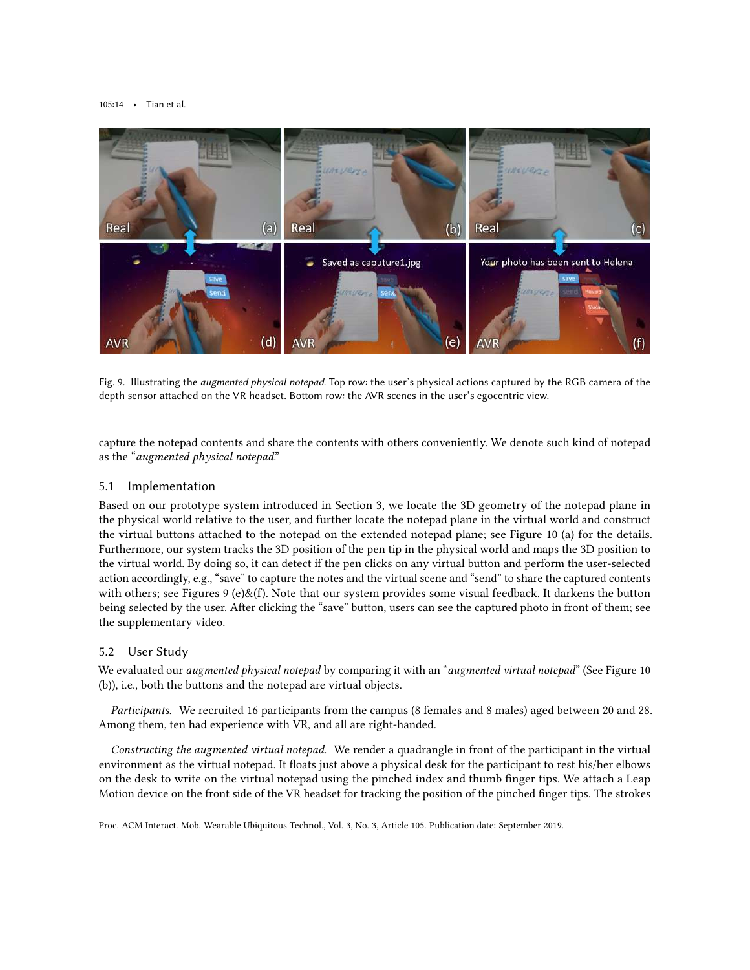105:14 • Tian et al.

<span id="page-13-0"></span>

Fig. 9. Illustrating the *augmented physical notepad*. Top row: the user's physical actions captured by the RGB camera of the depth sensor attached on the VR headset. Bottom row: the AVR scenes in the user's egocentric view.

capture the notepad contents and share the contents with others conveniently. We denote such kind of notepad as the "augmented physical notepad."

## 5.1 Implementation

Based on our prototype system introduced in Section [3,](#page-4-1) we locate the 3D geometry of the notepad plane in the physical world relative to the user, and further locate the notepad plane in the virtual world and construct the virtual buttons attached to the notepad on the extended notepad plane; see Figure [10](#page-14-0) (a) for the details. Furthermore, our system tracks the 3D position of the pen tip in the physical world and maps the 3D position to the virtual world. By doing so, it can detect if the pen clicks on any virtual button and perform the user-selected action accordingly, e.g., "save" to capture the notes and the virtual scene and "send" to share the captured contents with others; see Figures [9](#page-13-0) (e) $\&$ (f). Note that our system provides some visual feedback. It darkens the button being selected by the user. After clicking the "save" button, users can see the captured photo in front of them; see the supplementary video.

## 5.2 User Study

We evaluated our *augmented physical notepad* by comparing it with an "*augmented virtual notepad*" (See Figure [10](#page-14-0) (b)), i.e., both the buttons and the notepad are virtual objects.

Participants. We recruited 16 participants from the campus (8 females and 8 males) aged between 20 and 28. Among them, ten had experience with VR, and all are right-handed.

Constructing the augmented virtual notepad. We render a quadrangle in front of the participant in the virtual environment as the virtual notepad. It floats just above a physical desk for the participant to rest his/her elbows on the desk to write on the virtual notepad using the pinched index and thumb finger tips. We attach a Leap Motion device on the front side of the VR headset for tracking the position of the pinched finger tips. The strokes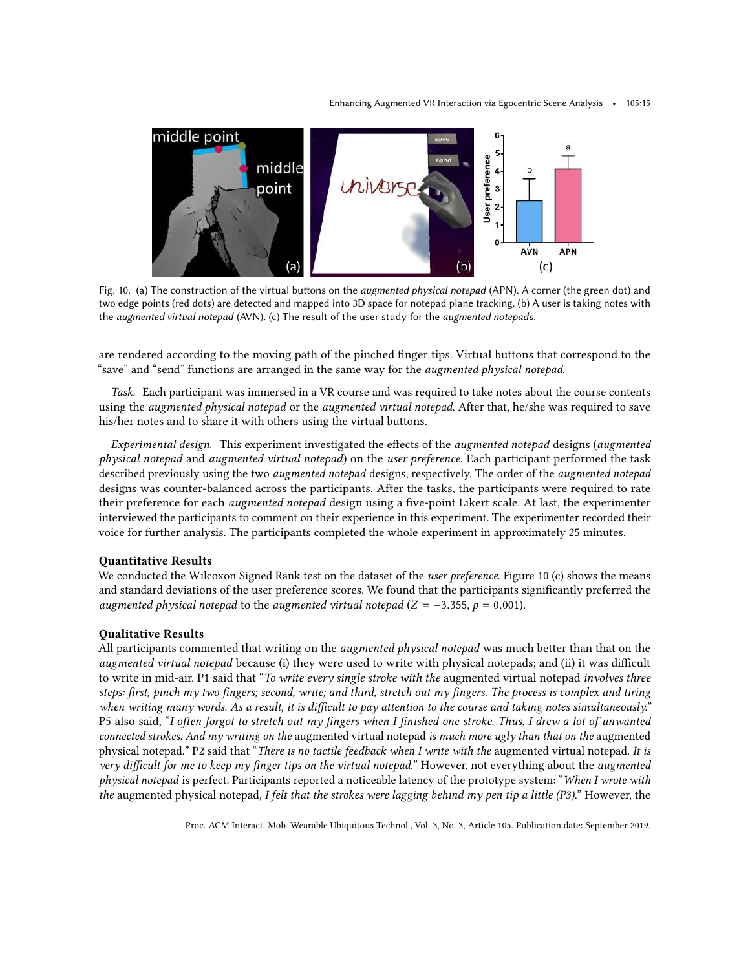<span id="page-14-0"></span>

Fig. 10. (a) The construction of the virtual buttons on the *augmented physical notepad* (APN). A corner (the green dot) and two edge points (red dots) are detected and mapped into 3D space for notepad plane tracking. (b) A user is taking notes with the augmented virtual notepad (AVN). (c) The result of the user study for the augmented notepads.

are rendered according to the moving path of the pinched finger tips. Virtual buttons that correspond to the "save" and "send" functions are arranged in the same way for the augmented physical notepad.

Task. Each participant was immersed in a VR course and was required to take notes about the course contents using the *augmented physical notepad* or the *augmented virtual notepad*. After that, he/she was required to save his/her notes and to share it with others using the virtual buttons.

Experimental design. This experiment investigated the effects of the augmented notepad designs (augmented physical notepad and augmented virtual notepad) on the user preference. Each participant performed the task described previously using the two augmented notepad designs, respectively. The order of the augmented notepad designs was counter-balanced across the participants. After the tasks, the participants were required to rate their preference for each *augmented notepad* design using a five-point Likert scale. At last, the experimenter interviewed the participants to comment on their experience in this experiment. The experimenter recorded their voice for further analysis. The participants completed the whole experiment in approximately 25 minutes.

#### Quantitative Results

We conducted the Wilcoxon Signed Rank test on the dataset of the *user preference*. Figure [10](#page-14-0) (c) shows the means and standard deviations of the user preference scores. We found that the participants significantly preferred the augmented physical notepad to the augmented virtual notepad ( $Z = -3.355$ ,  $p = 0.001$ ).

### Qualitative Results

All participants commented that writing on the *augmented physical notepad* was much better than that on the augmented virtual notepad because (i) they were used to write with physical notepads; and (ii) it was difficult to write in mid-air. P1 said that "To write every single stroke with the augmented virtual notepad involves three steps: first, pinch my two fingers; second, write; and third, stretch out my fingers. The process is complex and tiring when writing many words. As a result, it is difficult to pay attention to the course and taking notes simultaneously." P5 also said, "I often forgot to stretch out my fingers when I finished one stroke. Thus, I drew a lot of unwanted connected strokes. And my writing on the augmented virtual notepad is much more ugly than that on the augmented physical notepad." P2 said that "There is no tactile feedback when I write with the augmented virtual notepad. It is very difficult for me to keep my finger tips on the virtual notepad." However, not everything about the augmented physical notepad is perfect. Participants reported a noticeable latency of the prototype system: "When I wrote with the augmented physical notepad, I felt that the strokes were lagging behind my pen tip a little (P3)." However, the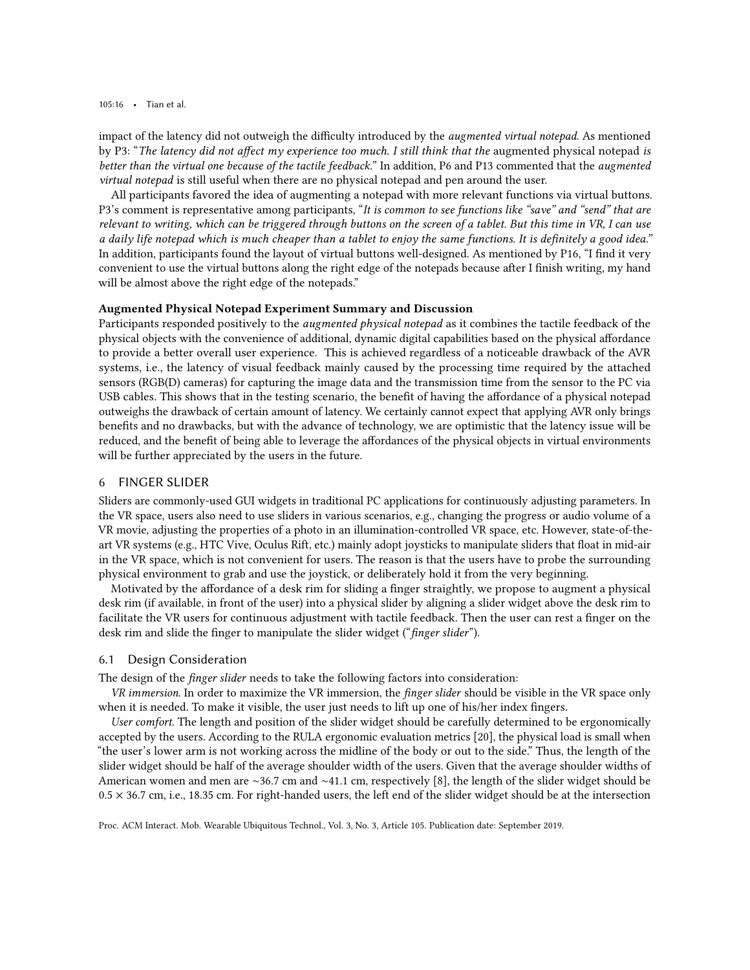105:16 • Tian et al.

impact of the latency did not outweigh the difficulty introduced by the augmented virtual notepad. As mentioned by P3: "The latency did not affect my experience too much. I still think that the augmented physical notepad is better than the virtual one because of the tactile feedback." In addition, P6 and P13 commented that the augmented virtual notepad is still useful when there are no physical notepad and pen around the user.

All participants favored the idea of augmenting a notepad with more relevant functions via virtual buttons. P3's comment is representative among participants, "It is common to see functions like "save" and "send" that are relevant to writing, which can be triggered through buttons on the screen of a tablet. But this time in VR, I can use a daily life notepad which is much cheaper than a tablet to enjoy the same functions. It is definitely a good idea." In addition, participants found the layout of virtual buttons well-designed. As mentioned by P16, "I find it very convenient to use the virtual buttons along the right edge of the notepads because after I finish writing, my hand will be almost above the right edge of the notepads."

#### Augmented Physical Notepad Experiment Summary and Discussion

Participants responded positively to the *augmented physical notepad* as it combines the tactile feedback of the physical objects with the convenience of additional, dynamic digital capabilities based on the physical affordance to provide a better overall user experience. This is achieved regardless of a noticeable drawback of the AVR systems, i.e., the latency of visual feedback mainly caused by the processing time required by the attached sensors (RGB(D) cameras) for capturing the image data and the transmission time from the sensor to the PC via USB cables. This shows that in the testing scenario, the benefit of having the affordance of a physical notepad outweighs the drawback of certain amount of latency. We certainly cannot expect that applying AVR only brings benefits and no drawbacks, but with the advance of technology, we are optimistic that the latency issue will be reduced, and the benefit of being able to leverage the affordances of the physical objects in virtual environments will be further appreciated by the users in the future.

#### <span id="page-15-0"></span>6 FINGER SLIDER

Sliders are commonly-used GUI widgets in traditional PC applications for continuously adjusting parameters. In the VR space, users also need to use sliders in various scenarios, e.g., changing the progress or audio volume of a VR movie, adjusting the properties of a photo in an illumination-controlled VR space, etc. However, state-of-theart VR systems (e.g., HTC Vive, Oculus Rift, etc.) mainly adopt joysticks to manipulate sliders that float in mid-air in the VR space, which is not convenient for users. The reason is that the users have to probe the surrounding physical environment to grab and use the joystick, or deliberately hold it from the very beginning.

Motivated by the affordance of a desk rim for sliding a finger straightly, we propose to augment a physical desk rim (if available, in front of the user) into a physical slider by aligning a slider widget above the desk rim to facilitate the VR users for continuous adjustment with tactile feedback. Then the user can rest a finger on the desk rim and slide the finger to manipulate the slider widget ("finger slider").

#### 6.1 Design Consideration

The design of the *finger slider* needs to take the following factors into consideration:

VR immersion. In order to maximize the VR immersion, the *finger slider should be visible in the VR space only* when it is needed. To make it visible, the user just needs to lift up one of his/her index fingers.

User comfort. The length and position of the slider widget should be carefully determined to be ergonomically accepted by the users. According to the RULA ergonomic evaluation metrics [\[20\]](#page-23-23), the physical load is small when "the user's lower arm is not working across the midline of the body or out to the side." Thus, the length of the slider widget should be half of the average shoulder width of the users. Given that the average shoulder widths of American women and men are ∼36.7 cm and ∼41.1 cm, respectively [\[8\]](#page-22-15), the length of the slider widget should be  $0.5 \times 36.7$  cm, i.e., 18.35 cm. For right-handed users, the left end of the slider widget should be at the intersection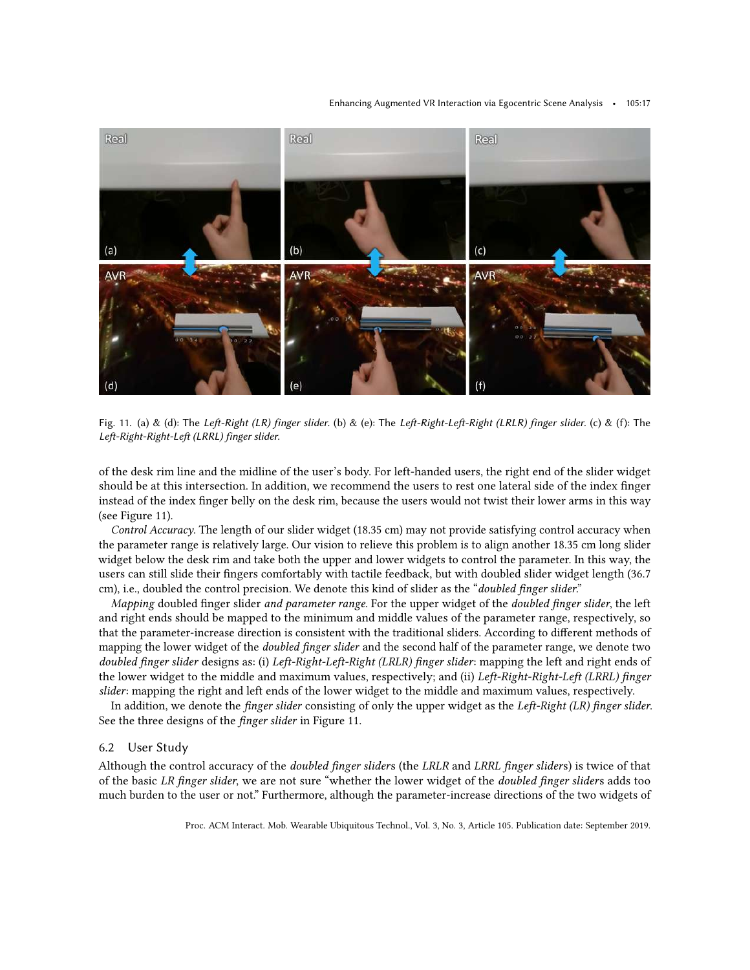#### Enhancing Augmented VR Interaction via Egocentric Scene Analysis • 105:17

<span id="page-16-0"></span>

Fig. 11. (a) & (d): The Left-Right (LR) finger slider. (b) & (e): The Left-Right-Left-Right (LRLR) finger slider. (c) & (f ): The Left-Right-Right-Left (LRRL) finger slider.

of the desk rim line and the midline of the user's body. For left-handed users, the right end of the slider widget should be at this intersection. In addition, we recommend the users to rest one lateral side of the index finger instead of the index finger belly on the desk rim, because the users would not twist their lower arms in this way (see Figure [11\)](#page-16-0).

Control Accuracy. The length of our slider widget (18.35 cm) may not provide satisfying control accuracy when the parameter range is relatively large. Our vision to relieve this problem is to align another 18.35 cm long slider widget below the desk rim and take both the upper and lower widgets to control the parameter. In this way, the users can still slide their fingers comfortably with tactile feedback, but with doubled slider widget length (36.7 cm), i.e., doubled the control precision. We denote this kind of slider as the "doubled finger slider."

Mapping doubled finger slider and parameter range. For the upper widget of the doubled finger slider, the left and right ends should be mapped to the minimum and middle values of the parameter range, respectively, so that the parameter-increase direction is consistent with the traditional sliders. According to different methods of mapping the lower widget of the *doubled finger slider* and the second half of the parameter range, we denote two doubled finger slider designs as: (i) Left-Right-Left-Right (LRLR) finger slider: mapping the left and right ends of the lower widget to the middle and maximum values, respectively; and (ii) Left-Right-Right-Left (LRRL) finger slider: mapping the right and left ends of the lower widget to the middle and maximum values, respectively.

In addition, we denote the *finger slider* consisting of only the upper widget as the Left-Right (LR) finger slider. See the three designs of the finger slider in Figure [11.](#page-16-0)

# 6.2 User Study

Although the control accuracy of the doubled finger sliders (the LRLR and LRRL finger sliders) is twice of that of the basic LR finger slider, we are not sure "whether the lower widget of the doubled finger sliders adds too much burden to the user or not." Furthermore, although the parameter-increase directions of the two widgets of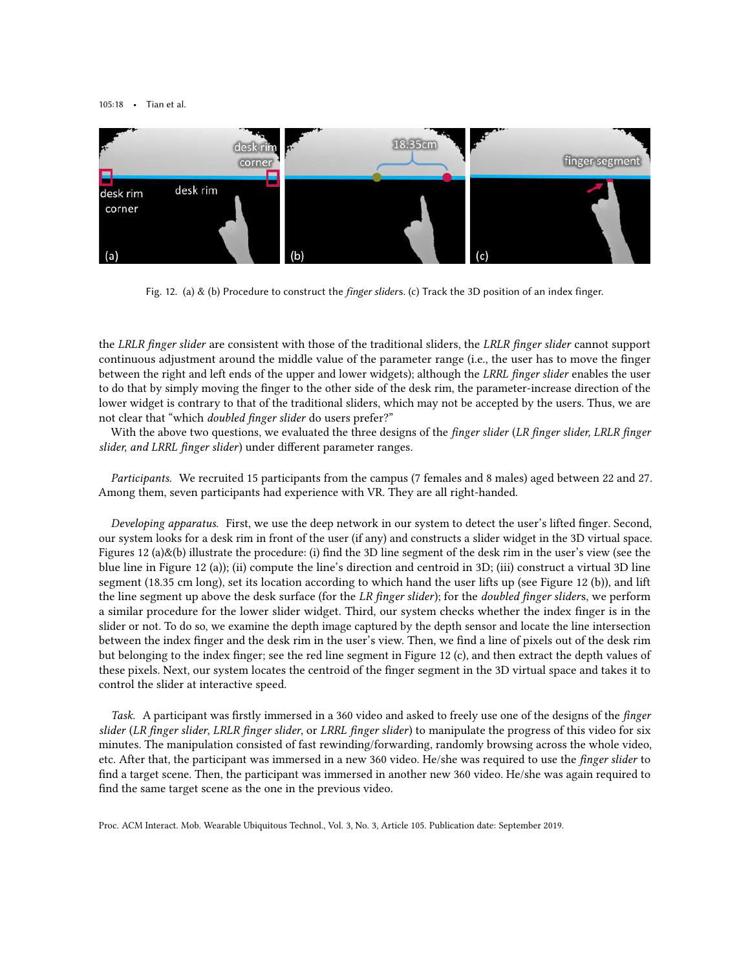105:18 • Tian et al.

<span id="page-17-0"></span>

Fig. 12. (a) & (b) Procedure to construct the *finger sliders*. (c) Track the 3D position of an index finger.

the LRLR finger slider are consistent with those of the traditional sliders, the LRLR finger slider cannot support continuous adjustment around the middle value of the parameter range (i.e., the user has to move the finger between the right and left ends of the upper and lower widgets); although the LRRL finger slider enables the user to do that by simply moving the finger to the other side of the desk rim, the parameter-increase direction of the lower widget is contrary to that of the traditional sliders, which may not be accepted by the users. Thus, we are not clear that "which doubled finger slider do users prefer?"

With the above two questions, we evaluated the three designs of the *finger slider (LR finger slider, LRLR finger* slider, and LRRL finger slider) under different parameter ranges.

Participants. We recruited 15 participants from the campus (7 females and 8 males) aged between 22 and 27. Among them, seven participants had experience with VR. They are all right-handed.

Developing apparatus. First, we use the deep network in our system to detect the user's lifted finger. Second, our system looks for a desk rim in front of the user (if any) and constructs a slider widget in the 3D virtual space. Figures [12](#page-17-0) (a)&(b) illustrate the procedure: (i) find the 3D line segment of the desk rim in the user's view (see the blue line in Figure [12](#page-17-0) (a)); (ii) compute the line's direction and centroid in 3D; (iii) construct a virtual 3D line segment (18.35 cm long), set its location according to which hand the user lifts up (see Figure [12](#page-17-0) (b)), and lift the line segment up above the desk surface (for the LR finger slider); for the *doubled finger sliders*, we perform a similar procedure for the lower slider widget. Third, our system checks whether the index finger is in the slider or not. To do so, we examine the depth image captured by the depth sensor and locate the line intersection between the index finger and the desk rim in the user's view. Then, we find a line of pixels out of the desk rim but belonging to the index finger; see the red line segment in Figure [12](#page-17-0) (c), and then extract the depth values of these pixels. Next, our system locates the centroid of the finger segment in the 3D virtual space and takes it to control the slider at interactive speed.

Task. A participant was firstly immersed in a 360 video and asked to freely use one of the designs of the finger slider (LR finger slider, LRLR finger slider, or LRRL finger slider) to manipulate the progress of this video for six minutes. The manipulation consisted of fast rewinding/forwarding, randomly browsing across the whole video, etc. After that, the participant was immersed in a new 360 video. He/she was required to use the *finger slider* to find a target scene. Then, the participant was immersed in another new 360 video. He/she was again required to find the same target scene as the one in the previous video.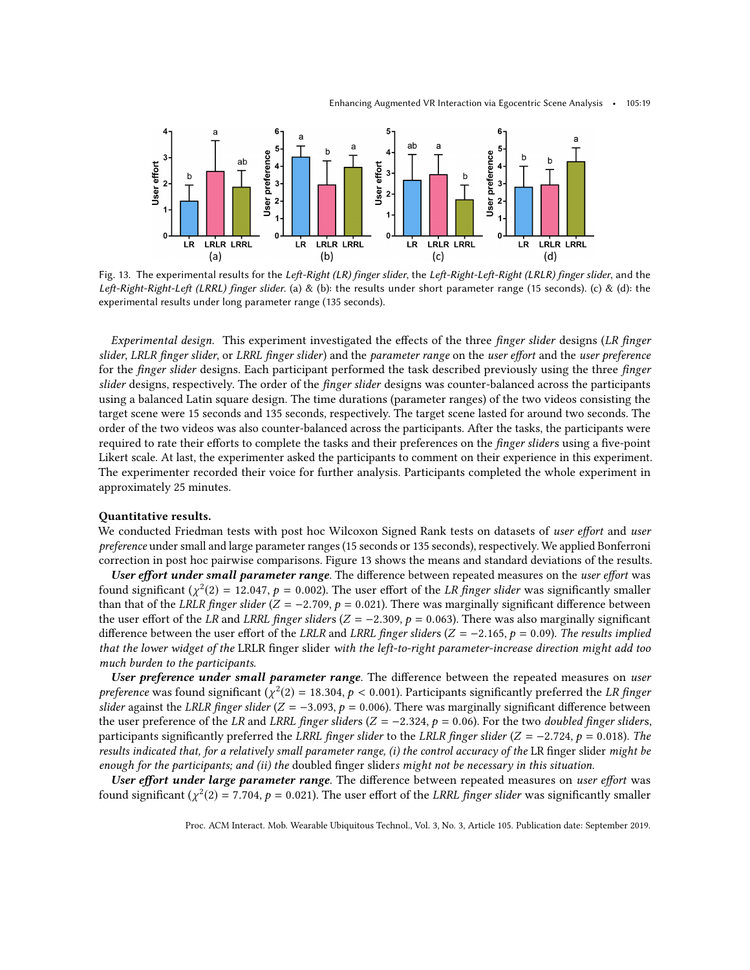<span id="page-18-0"></span>

Fig. 13. The experimental results for the Left-Right (LR) finger slider, the Left-Right-Left-Right (LRLR) finger slider, and the Left-Right-Right-Left (LRRL) finger slider. (a) & (b): the results under short parameter range (15 seconds). (c) & (d): the experimental results under long parameter range (135 seconds).

Experimental design. This experiment investigated the effects of the three finger slider designs (LR finger slider, LRLR finger slider, or LRRL finger slider) and the parameter range on the user effort and the user preference for the *finger slider* designs. Each participant performed the task described previously using the three *finger* slider designs, respectively. The order of the *finger slider* designs was counter-balanced across the participants using a balanced Latin square design. The time durations (parameter ranges) of the two videos consisting the target scene were 15 seconds and 135 seconds, respectively. The target scene lasted for around two seconds. The order of the two videos was also counter-balanced across the participants. After the tasks, the participants were required to rate their efforts to complete the tasks and their preferences on the finger sliders using a five-point Likert scale. At last, the experimenter asked the participants to comment on their experience in this experiment. The experimenter recorded their voice for further analysis. Participants completed the whole experiment in approximately 25 minutes.

#### Quantitative results.

We conducted Friedman tests with post hoc Wilcoxon Signed Rank tests on datasets of user effort and user preference under small and large parameter ranges (15 seconds or 135 seconds), respectively. We applied Bonferroni correction in post hoc pairwise comparisons. Figure [13](#page-18-0) shows the means and standard deviations of the results.

User effort under small parameter range. The difference between repeated measures on the user effort was found significant  $(\chi^2(2) = 12.047, p = 0.002)$ . The user effort of the LR finger slider was significantly smaller<br>than that of the LRLR finger slider  $(Z = -2.709, p = 0.021)$ . There was marginally significant difference betwee than that of the LRLR finger slider ( $Z = -2.709$ ,  $p = 0.021$ ). There was marginally significant difference between the user effort of the LR and LRRL finger sliders ( $Z = -2.309$ ,  $p = 0.063$ ). There was also marginally significant difference between the user effort of the LRLR and LRRL finger sliders ( $Z = -2.165$ ,  $p = 0.09$ ). The results implied that the lower widget of the LRLR finger slider with the left-to-right parameter-increase direction might add too much burden to the participants.

User preference under small parameter range. The difference between the repeated measures on user preference was found significant  $(\chi^2(2) = 18.304, p < 0.001)$ . Participants significantly preferred the LR finger<br>slider against the LBLR finger slider (Z – –3.093, n – 0.006). There was marginally significant difference b slider against the LRLR finger slider ( $Z = -3.093$ ,  $p = 0.006$ ). There was marginally significant difference between the user preference of the LR and LRRL finger sliders ( $Z = -2.324$ ,  $p = 0.06$ ). For the two doubled finger sliders, participants significantly preferred the LRRL finger slider to the LRLR finger slider ( $Z = -2.724$ ,  $p = 0.018$ ). The results indicated that, for a relatively small parameter range, (i) the control accuracy of the LR finger slider might be enough for the participants; and (ii) the doubled finger sliders might not be necessary in this situation.

User effort under large parameter range. The difference between repeated measures on user effort was found significant ( $\chi^2(2) = 7.704$ ,  $p = 0.021$ ). The user effort of the *LRRL finger slider* was significantly smaller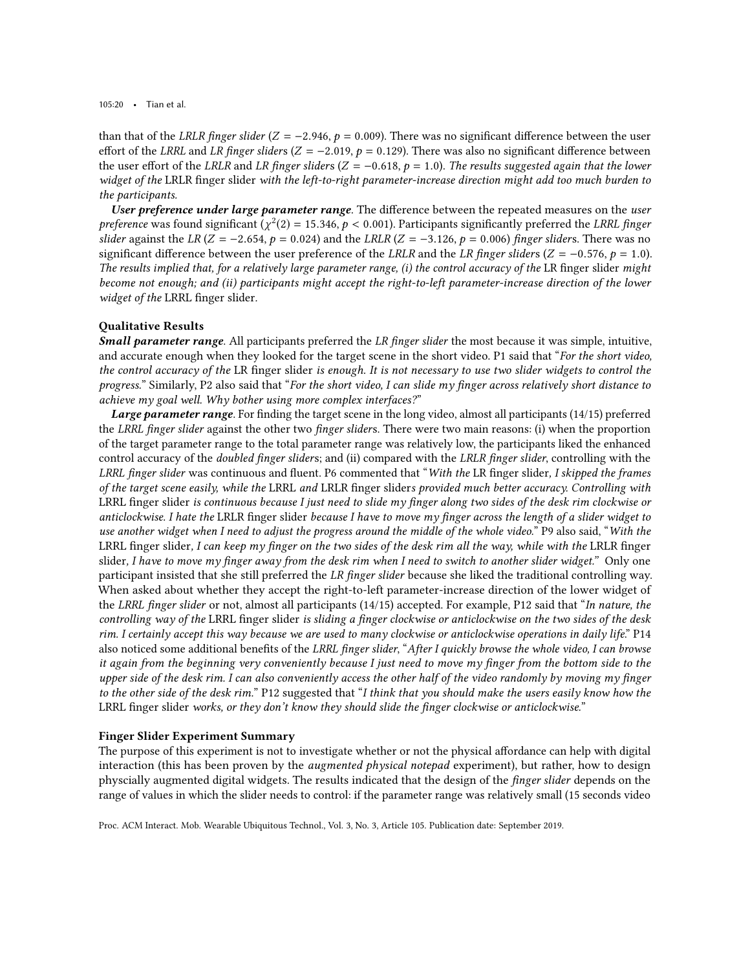than that of the LRLR finger slider ( $Z = -2.946$ ,  $p = 0.009$ ). There was no significant difference between the user effort of the LRRL and LR finger sliders ( $Z = -2.019$ ,  $p = 0.129$ ). There was also no significant difference between the user effort of the LRLR and LR finger sliders ( $Z = -0.618$ ,  $p = 1.0$ ). The results suggested again that the lower widget of the LRLR finger slider with the left-to-right parameter-increase direction might add too much burden to the participants.

User preference under large parameter range. The difference between the repeated measures on the user preference was found significant  $(\chi^2(2) = 15.346, p < 0.001)$ . Participants significantly preferred the LRRL finger<br>slider against the LR (Z = -2.654, p = 0.024) and the LRLR (Z = -3.126, p = 0.006) finger sliders. There w slider against the LR (Z = -2.654,  $p = 0.024$ ) and the LRLR (Z = -3.126,  $p = 0.006$ ) finger sliders. There was no significant difference between the user preference of the LRLR and the LR finger sliders ( $Z = -0.576$ ,  $p = 1.0$ ). The results implied that, for a relatively large parameter range, (i) the control accuracy of the LR finger slider might become not enough; and (ii) participants might accept the right-to-left parameter-increase direction of the lower widget of the LRRL finger slider.

#### Qualitative Results

Small parameter range. All participants preferred the LR finger slider the most because it was simple, intuitive, and accurate enough when they looked for the target scene in the short video. P1 said that "For the short video, the control accuracy of the LR finger slider is enough. It is not necessary to use two slider widgets to control the progress." Similarly, P2 also said that "For the short video, I can slide my finger across relatively short distance to achieve my goal well. Why bother using more complex interfaces?"

Large parameter range. For finding the target scene in the long video, almost all participants (14/15) preferred the LRRL finger slider against the other two finger sliders. There were two main reasons: (i) when the proportion of the target parameter range to the total parameter range was relatively low, the participants liked the enhanced control accuracy of the doubled finger sliders; and (ii) compared with the LRLR finger slider, controlling with the LRRL finger slider was continuous and fluent. P6 commented that "With the LR finger slider, I skipped the frames of the target scene easily, while the LRRL and LRLR finger sliders provided much better accuracy. Controlling with LRRL finger slider is continuous because I just need to slide my finger along two sides of the desk rim clockwise or anticlockwise. I hate the LRLR finger slider because I have to move my finger across the length of a slider widget to use another widget when I need to adjust the progress around the middle of the whole video." P9 also said, "With the LRRL finger slider, I can keep my finger on the two sides of the desk rim all the way, while with the LRLR finger slider, I have to move my finger away from the desk rim when I need to switch to another slider widget." Only one participant insisted that she still preferred the LR finger slider because she liked the traditional controlling way. When asked about whether they accept the right-to-left parameter-increase direction of the lower widget of the LRRL finger slider or not, almost all participants (14/15) accepted. For example, P12 said that "In nature, the controlling way of the LRRL finger slider is sliding a finger clockwise or anticlockwise on the two sides of the desk rim. I certainly accept this way because we are used to many clockwise or anticlockwise operations in daily life." P14 also noticed some additional benefits of the LRRL finger slider, "After I quickly browse the whole video, I can browse it again from the beginning very conveniently because I just need to move my finger from the bottom side to the upper side of the desk rim. I can also conveniently access the other half of the video randomly by moving my finger to the other side of the desk rim." P12 suggested that "I think that you should make the users easily know how the LRRL finger slider works, or they don't know they should slide the finger clockwise or anticlockwise."

#### Finger Slider Experiment Summary

The purpose of this experiment is not to investigate whether or not the physical affordance can help with digital interaction (this has been proven by the *augmented physical notepad* experiment), but rather, how to design physcially augmented digital widgets. The results indicated that the design of the *finger slider* depends on the range of values in which the slider needs to control: if the parameter range was relatively small (15 seconds video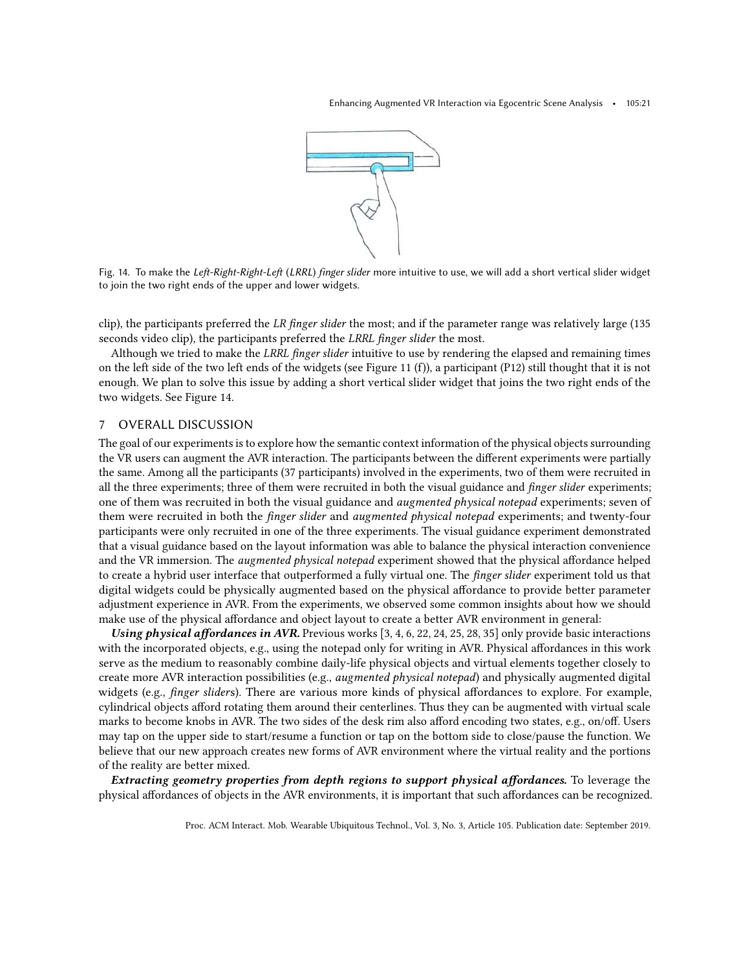Enhancing Augmented VR Interaction via Egocentric Scene Analysis • 105:21

<span id="page-20-0"></span>

Fig. 14. To make the Left-Right-Right-Left (LRRL) finger slider more intuitive to use, we will add a short vertical slider widget to join the two right ends of the upper and lower widgets.

clip), the participants preferred the LR finger slider the most; and if the parameter range was relatively large  $(135$ seconds video clip), the participants preferred the LRRL finger slider the most.

Although we tried to make the LRRL finger slider intuitive to use by rendering the elapsed and remaining times on the left side of the two left ends of the widgets (see Figure [11](#page-16-0) (f)), a participant (P12) still thought that it is not enough. We plan to solve this issue by adding a short vertical slider widget that joins the two right ends of the two widgets. See Figure [14.](#page-20-0)

## <span id="page-20-1"></span>7 OVERALL DISCUSSION

The goal of our experiments is to explore how the semantic context information of the physical objects surrounding the VR users can augment the AVR interaction. The participants between the different experiments were partially the same. Among all the participants (37 participants) involved in the experiments, two of them were recruited in all the three experiments; three of them were recruited in both the visual guidance and *finger slider* experiments; one of them was recruited in both the visual guidance and *augmented physical notepad* experiments; seven of them were recruited in both the *finger slider* and *augmented physical notepad* experiments; and twenty-four participants were only recruited in one of the three experiments. The visual guidance experiment demonstrated that a visual guidance based on the layout information was able to balance the physical interaction convenience and the VR immersion. The *augmented physical notepad* experiment showed that the physical affordance helped to create a hybrid user interface that outperformed a fully virtual one. The finger slider experiment told us that digital widgets could be physically augmented based on the physical affordance to provide better parameter adjustment experience in AVR. From the experiments, we observed some common insights about how we should make use of the physical affordance and object layout to create a better AVR environment in general:

Using *physical affordances in AVR*. Previous works [\[3,](#page-22-0) [4,](#page-22-1) [6,](#page-22-13) [22,](#page-23-1) [24,](#page-23-2) [25,](#page-23-3) [28,](#page-23-15) [35\]](#page-23-4) only provide basic interactions with the incorporated objects, e.g., using the notepad only for writing in AVR. Physical affordances in this work serve as the medium to reasonably combine daily-life physical objects and virtual elements together closely to create more AVR interaction possibilities (e.g., *augmented physical notepad*) and physically augmented digital widgets (e.g., *finger sliders*). There are various more kinds of physical affordances to explore. For example, cylindrical objects afford rotating them around their centerlines. Thus they can be augmented with virtual scale marks to become knobs in AVR. The two sides of the desk rim also afford encoding two states, e.g., on/off. Users may tap on the upper side to start/resume a function or tap on the bottom side to close/pause the function. We believe that our new approach creates new forms of AVR environment where the virtual reality and the portions of the reality are better mixed.

Extracting geometry properties from depth regions to support physical affordances. To leverage the physical affordances of objects in the AVR environments, it is important that such affordances can be recognized.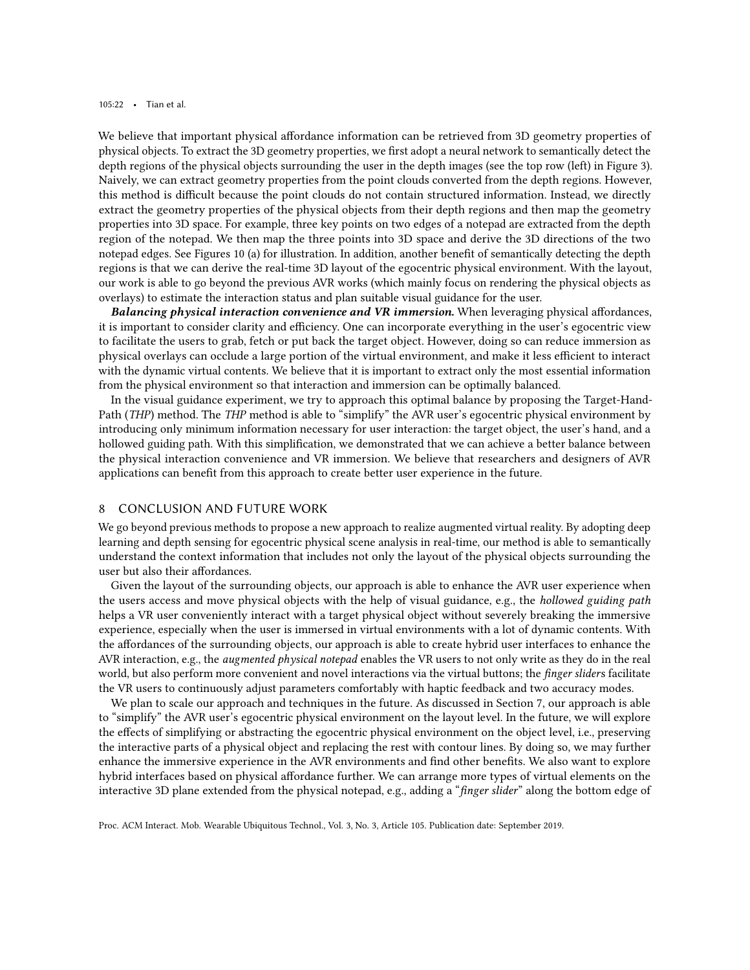We believe that important physical affordance information can be retrieved from 3D geometry properties of physical objects. To extract the 3D geometry properties, we first adopt a neural network to semantically detect the depth regions of the physical objects surrounding the user in the depth images (see the top row (left) in Figure [3\)](#page-6-1). Naively, we can extract geometry properties from the point clouds converted from the depth regions. However, this method is difficult because the point clouds do not contain structured information. Instead, we directly extract the geometry properties of the physical objects from their depth regions and then map the geometry properties into 3D space. For example, three key points on two edges of a notepad are extracted from the depth region of the notepad. We then map the three points into 3D space and derive the 3D directions of the two notepad edges. See Figures [10](#page-14-0) (a) for illustration. In addition, another benefit of semantically detecting the depth regions is that we can derive the real-time 3D layout of the egocentric physical environment. With the layout, our work is able to go beyond the previous AVR works (which mainly focus on rendering the physical objects as overlays) to estimate the interaction status and plan suitable visual guidance for the user.

Balancing physical interaction convenience and VR immersion. When leveraging physical affordances, it is important to consider clarity and efficiency. One can incorporate everything in the user's egocentric view to facilitate the users to grab, fetch or put back the target object. However, doing so can reduce immersion as physical overlays can occlude a large portion of the virtual environment, and make it less efficient to interact with the dynamic virtual contents. We believe that it is important to extract only the most essential information from the physical environment so that interaction and immersion can be optimally balanced.

In the visual guidance experiment, we try to approach this optimal balance by proposing the Target-Hand-Path (THP) method. The THP method is able to "simplify" the AVR user's egocentric physical environment by introducing only minimum information necessary for user interaction: the target object, the user's hand, and a hollowed guiding path. With this simplification, we demonstrated that we can achieve a better balance between the physical interaction convenience and VR immersion. We believe that researchers and designers of AVR applications can benefit from this approach to create better user experience in the future.

## 8 CONCLUSION AND FUTURE WORK

We go beyond previous methods to propose a new approach to realize augmented virtual reality. By adopting deep learning and depth sensing for egocentric physical scene analysis in real-time, our method is able to semantically understand the context information that includes not only the layout of the physical objects surrounding the user but also their affordances.

Given the layout of the surrounding objects, our approach is able to enhance the AVR user experience when the users access and move physical objects with the help of visual guidance, e.g., the hollowed guiding path helps a VR user conveniently interact with a target physical object without severely breaking the immersive experience, especially when the user is immersed in virtual environments with a lot of dynamic contents. With the affordances of the surrounding objects, our approach is able to create hybrid user interfaces to enhance the AVR interaction, e.g., the *augmented physical notepad* enables the VR users to not only write as they do in the real world, but also perform more convenient and novel interactions via the virtual buttons; the *finger sliders* facilitate the VR users to continuously adjust parameters comfortably with haptic feedback and two accuracy modes.

We plan to scale our approach and techniques in the future. As discussed in Section [7,](#page-20-1) our approach is able to "simplify" the AVR user's egocentric physical environment on the layout level. In the future, we will explore the effects of simplifying or abstracting the egocentric physical environment on the object level, i.e., preserving the interactive parts of a physical object and replacing the rest with contour lines. By doing so, we may further enhance the immersive experience in the AVR environments and find other benefits. We also want to explore hybrid interfaces based on physical affordance further. We can arrange more types of virtual elements on the interactive 3D plane extended from the physical notepad, e.g., adding a "finger slider" along the bottom edge of

Proc. ACM Interact. Mob. Wearable Ubiquitous Technol., Vol. 3, No. 3, Article 105. Publication date: September 2019.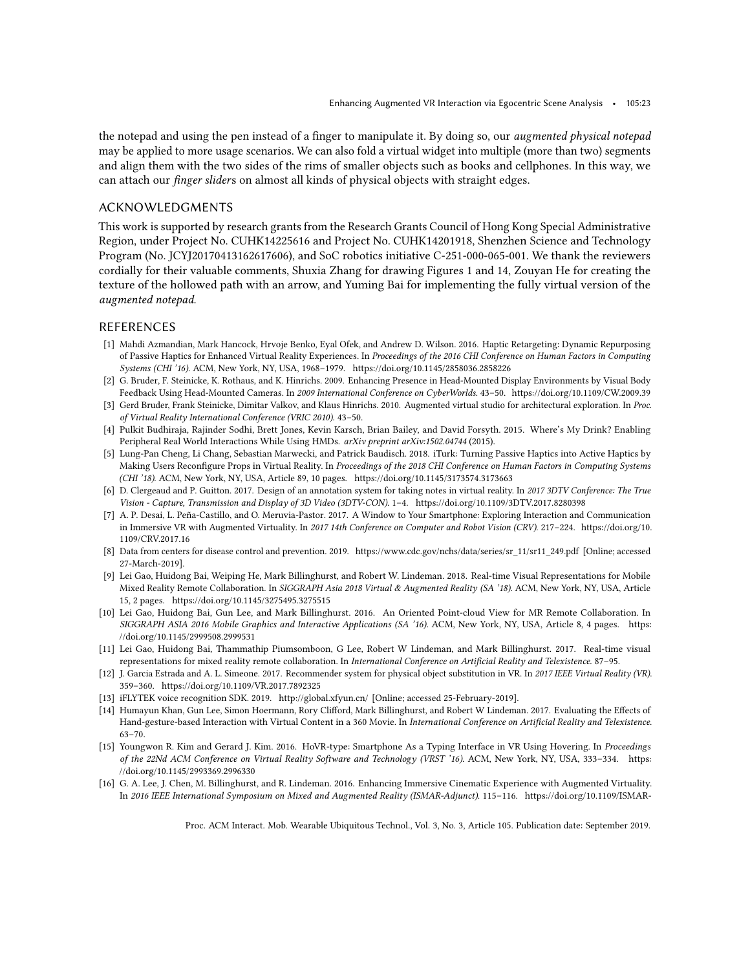the notepad and using the pen instead of a finger to manipulate it. By doing so, our *augmented physical notepad* may be applied to more usage scenarios. We can also fold a virtual widget into multiple (more than two) segments and align them with the two sides of the rims of smaller objects such as books and cellphones. In this way, we can attach our finger sliders on almost all kinds of physical objects with straight edges.

# ACKNOWLEDGMENTS

This work is supported by research grants from the Research Grants Council of Hong Kong Special Administrative Region, under Project No. CUHK14225616 and Project No. CUHK14201918, Shenzhen Science and Technology Program (No. JCYJ20170413162617606), and SoC robotics initiative C-251-000-065-001. We thank the reviewers cordially for their valuable comments, Shuxia Zhang for drawing Figures [1](#page-1-0) and [14,](#page-20-0) Zouyan He for creating the texture of the hollowed path with an arrow, and Yuming Bai for implementing the fully virtual version of the augmented notepad.

### REFERENCES

- <span id="page-22-11"></span>[1] Mahdi Azmandian, Mark Hancock, Hrvoje Benko, Eyal Ofek, and Andrew D. Wilson. 2016. Haptic Retargeting: Dynamic Repurposing of Passive Haptics for Enhanced Virtual Reality Experiences. In Proceedings of the 2016 CHI Conference on Human Factors in Computing Systems (CHI '16). ACM, New York, NY, USA, 1968–1979.<https://doi.org/10.1145/2858036.2858226>
- <span id="page-22-2"></span>[2] G. Bruder, F. Steinicke, K. Rothaus, and K. Hinrichs. 2009. Enhancing Presence in Head-Mounted Display Environments by Visual Body Feedback Using Head-Mounted Cameras. In 2009 International Conference on CyberWorlds. 43–50.<https://doi.org/10.1109/CW.2009.39>
- <span id="page-22-0"></span>[3] Gerd Bruder, Frank Steinicke, Dimitar Valkov, and Klaus Hinrichs. 2010. Augmented virtual studio for architectural exploration. In Proc. of Virtual Reality International Conference (VRIC 2010). 43–50.
- <span id="page-22-1"></span>[4] Pulkit Budhiraja, Rajinder Sodhi, Brett Jones, Kevin Karsch, Brian Bailey, and David Forsyth. 2015. Where's My Drink? Enabling Peripheral Real World Interactions While Using HMDs. arXiv preprint arXiv:1502.04744 (2015).
- <span id="page-22-12"></span>[5] Lung-Pan Cheng, Li Chang, Sebastian Marwecki, and Patrick Baudisch. 2018. iTurk: Turning Passive Haptics into Active Haptics by Making Users Reconfigure Props in Virtual Reality. In Proceedings of the 2018 CHI Conference on Human Factors in Computing Systems (CHI '18). ACM, New York, NY, USA, Article 89, 10 pages.<https://doi.org/10.1145/3173574.3173663>
- <span id="page-22-13"></span>[6] D. Clergeaud and P. Guitton. 2017. Design of an annotation system for taking notes in virtual reality. In 2017 3DTV Conference: The True Vision - Capture, Transmission and Display of 3D Video (3DTV-CON). 1–4.<https://doi.org/10.1109/3DTV.2017.8280398>
- <span id="page-22-8"></span>[7] A. P. Desai, L. Peña-Castillo, and O. Meruvia-Pastor. 2017. A Window to Your Smartphone: Exploring Interaction and Communication in Immersive VR with Augmented Virtuality. In 2017 14th Conference on Computer and Robot Vision (CRV). 217–224. [https://doi.org/10.](https://doi.org/10.1109/CRV.2017.16) [1109/CRV.2017.16](https://doi.org/10.1109/CRV.2017.16)
- <span id="page-22-15"></span>[8] Data from centers for disease control and prevention. 2019. [https://www.cdc.gov/nchs/data/series/sr\\_11/sr11\\_249.pdf](https://www.cdc.gov/nchs/data/series/sr_11/sr11_249.pdf) [Online; accessed 27-March-2019].
- <span id="page-22-5"></span>[9] Lei Gao, Huidong Bai, Weiping He, Mark Billinghurst, and Robert W. Lindeman. 2018. Real-time Visual Representations for Mobile Mixed Reality Remote Collaboration. In SIGGRAPH Asia 2018 Virtual & Augmented Reality (SA '18). ACM, New York, NY, USA, Article 15, 2 pages.<https://doi.org/10.1145/3275495.3275515>
- <span id="page-22-3"></span>[10] Lei Gao, Huidong Bai, Gun Lee, and Mark Billinghurst. 2016. An Oriented Point-cloud View for MR Remote Collaboration. In SIGGRAPH ASIA 2016 Mobile Graphics and Interactive Applications (SA '16). ACM, New York, NY, USA, Article 8, 4 pages. [https:](https://doi.org/10.1145/2999508.2999531) [//doi.org/10.1145/2999508.2999531](https://doi.org/10.1145/2999508.2999531)
- <span id="page-22-4"></span>[11] Lei Gao, Huidong Bai, Thammathip Piumsomboon, G Lee, Robert W Lindeman, and Mark Billinghurst. 2017. Real-time visual representations for mixed reality remote collaboration. In International Conference on Artificial Reality and Telexistence. 87–95.
- <span id="page-22-10"></span>[12] J. Garcia Estrada and A. L. Simeone. 2017. Recommender system for physical object substitution in VR. In 2017 IEEE Virtual Reality (VR). 359–360.<https://doi.org/10.1109/VR.2017.7892325>
- <span id="page-22-14"></span>[13] iFLYTEK voice recognition SDK. 2019.<http://global.xfyun.cn/> [Online; accessed 25-February-2019].
- <span id="page-22-7"></span>[14] Humayun Khan, Gun Lee, Simon Hoermann, Rory Clifford, Mark Billinghurst, and Robert W Lindeman. 2017. Evaluating the Effects of Hand-gesture-based Interaction with Virtual Content in a 360 Movie. In International Conference on Artificial Reality and Telexistence. 63–70.
- <span id="page-22-9"></span>[15] Youngwon R. Kim and Gerard J. Kim. 2016. HoVR-type: Smartphone As a Typing Interface in VR Using Hovering. In Proceedings of the 22Nd ACM Conference on Virtual Reality Software and Technology (VRST '16). ACM, New York, NY, USA, 333–334. [https:](https://doi.org/10.1145/2993369.2996330) [//doi.org/10.1145/2993369.2996330](https://doi.org/10.1145/2993369.2996330)
- <span id="page-22-6"></span>[16] G. A. Lee, J. Chen, M. Billinghurst, and R. Lindeman. 2016. Enhancing Immersive Cinematic Experience with Augmented Virtuality. In 2016 IEEE International Symposium on Mixed and Augmented Reality (ISMAR-Adjunct). 115–116. [https://doi.org/10.1109/ISMAR-](https://doi.org/10.1109/ISMAR-Adjunct.2016.0054)